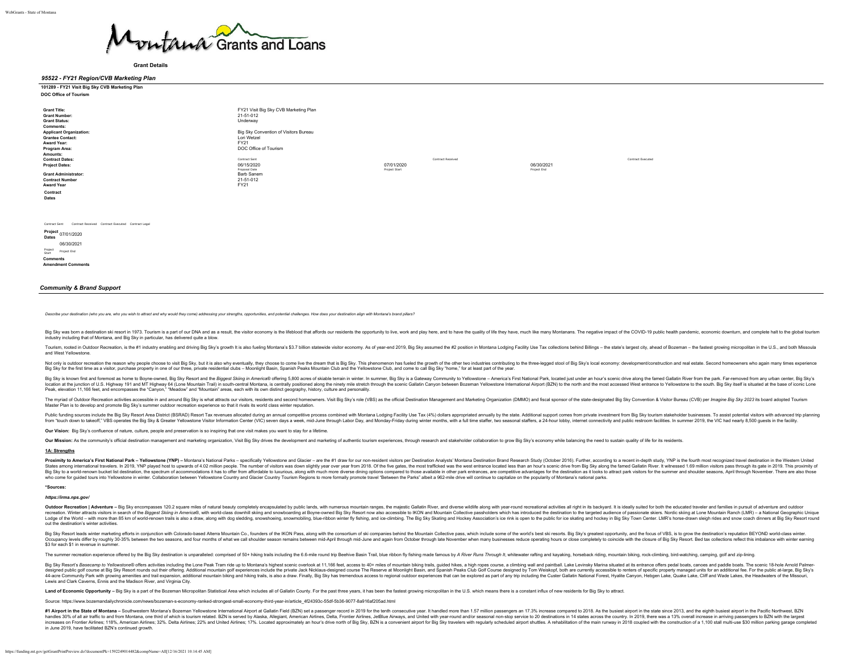

**Grant Details**

### *95522 - FY21 Region/CVB Marketing Plan* **1212 - FY21 Visit Big Sky CVB Marketing Plan**

| 101209 - FT21 VISIL DIG OKY UVD MATKE |  |  |
|---------------------------------------|--|--|
| <b>DOC Office of Tourism</b>          |  |  |

| <b>Grant Title:</b><br><b>Grant Number:</b><br><b>Grant Status:</b><br><b>Comments:</b><br><b>Applicant Organization:</b> | FY21 Visit Big Sky CVB Marketing Plan<br>21-51-012<br>Underway<br>Big Sky Convention of Visitors Bureau |                   |             |                   |
|---------------------------------------------------------------------------------------------------------------------------|---------------------------------------------------------------------------------------------------------|-------------------|-------------|-------------------|
| <b>Grantee Contact:</b>                                                                                                   | Lori Wetzel                                                                                             |                   |             |                   |
| Award Year:                                                                                                               | FY21                                                                                                    |                   |             |                   |
| Program Area:                                                                                                             | DOC Office of Tourism                                                                                   |                   |             |                   |
| Amounts:                                                                                                                  |                                                                                                         |                   |             |                   |
| <b>Contract Dates:</b>                                                                                                    | Contract Sent                                                                                           | Contract Received |             | Contract Executed |
| <b>Project Dates:</b>                                                                                                     | 06/15/2020                                                                                              | 07/01/2020        | 06/30/2021  |                   |
| <b>Grant Administrator:</b><br><b>Contract Number</b><br><b>Award Year</b><br>Contract<br>Dates                           | Proposal Date<br>Barb Sanem<br>21-51-012<br>FY21                                                        | Project Start     | Project End |                   |
|                                                                                                                           |                                                                                                         |                   |             |                   |

| Contract Sent               |             |                           | Contract Received Contract Executed Contract Legal |  |
|-----------------------------|-------------|---------------------------|----------------------------------------------------|--|
| Project 07/01/2020<br>Dates |             |                           |                                                    |  |
|                             |             | 06/30/2021                |                                                    |  |
| Project<br>Start            | Project End |                           |                                                    |  |
| <b>Comments</b>             |             | <b>Amendment Comments</b> |                                                    |  |

### *Community & Brand Support*

Describe your destination (who you are, who you wish to attract and why would they come) addressing your strengths, opportunities, and potential challenges. How does your destination align with Montana's brand pillars?

Big Sky was born a destination ski resort in 1973. Tourism is a part of our DNA and as a result, the visitor economy is the lifeblood that affords our residents the opportunity to live, work and play here, and to have the industry including that of Montana, and Big Sky in particular, has delivered quite a blow.

Tourism, rooted in Outdoor Recreation, is the #1 industry enabling and driving Big Sky's growth It is also fueling Montana's \$3.7 billion statewide visitor economy. As of vear-end 2019, Big Sky assumed the #2 position in M and West Yellowstone.

Not only is outdoor recreation the reason why people choose to visit Bio Sky, but it is also why eventually, they choose to come live the dream that is Bio Sky. This phenomenon has fueled the drowth of the other two indust No Sky to the first time as a visitor, purchase properly in one of our three, private residential clubs – Moonlight Basin, Spanish Peaks Mountain Club and the Yellowstone Club, and cone to call Big Sky Yorne," for at least

Big Sky is known first and foremost as home to Boyne-owned. Big Sky Resort and the Biggest Skilng in America® offering 5,800 acres of skiable terrain in winter In summer. Big Sky is a Gateway Community to Yellowstone - Ame wy when the consequence of the consequence of the consequence of the consequence of the consequence of the consequence of the consequence of the consequence of the consequence of the consequence of the consequence of the c Peak, elevation 11,166 feet, and encompasses the "Canyon," "Meadow" and "Mountain" areas, each with its own distinct geography, history, culture and personality.

The myriad of Outdoor Recreation activities accessible in and around Big Sky is what attracts our visitors, residents and second homeowners. Visit Big Sky's role (VBS) as the official Destination Management and Marketing O Master Plan is to develop and promote Big Sky's summer outdoor recreation experience so that it rivals its world class winter reputation.

Publis under the Superstand the Burght of the Super All and District (BSRAD) Resources and the publis and a moder of the publis and a moder in the super standed of the publis and Monday-Friday and Monday-Friday during wind

**Our Vision:** Big Sky's confluence of nature, culture, people and preservation is so inspiring that one visit makes you want to stay for a lifetime.

Our Mission: As the community's official destination management and marketing organization, Visit Big Sky drives the development and marketing of authentic tourism experiences, through research and stakeholder collaboratio

#### **1A: Strengths**

Proximity to America's First National Park - Yellowstone (YNP) - Montana's National Parks - specifically Yellowstone and Glacier - are the #1 draw for our non-resident visitors per Destination Analysts' Montana Destination States among international travelers. In 2019, YNP played host to upwards of 4.02 million people. The number of visitors was down slightly year over year from 2018. Of the five gates, the most trafficked was the west entra

#### **\*Sources:**

#### *<https://irma.nps.gov/>*

Outdoor Recreation | Adventure - Big Sky encompasses 120.2 square miles of natural beauty completely encapsulated by public lands, with numerous mountain ranges, the majestic Gallatin River, and diverse wildlife along with recreation Winter attracts visitors in search of the Biggest Skiing in America® with world-class downhill skiing and spowboarding at Boyne-owned Big Sky Resort now also accessible to IKON and Mountain Collective passholder recomments and the media of the community and the community and the community of the construction of the construction of the construction of the construction of the construction of the construction of the construction of t out the destination's winter activities.

Big Sky Resort Made a School of the School School School School School School School School School School of the IND and School of the New School of the Contains of the School School School School School School School Scho .<br>cupancy levels differ by roughly 30-35% between the two seasons, and four months of what we call shoulder season remains between mid-April through mid-June and again from October through late November when many businesse \$3 for each \$1 in revenue in summer.

The summer recreation experience offered by the Big Sky destination is unparalleled: comprised of 50+ hiking trails including the 6.6-mile round trip Beehive Basin Trail, blue ribbon fly fishing made famous by A River Runs

Big Sky Resort's Basecamp to Yellowstone® offers activities including the Lone Peak Tram ride up to Montana's highest scenic overlook at 11.166 feet. access to 40+ miles of mountain biking trails, quided hikes. a high rope ...<br>signed public golf course at Big Sky Resort rounds out their offering. Additional mountain golf experiences include the private Jack Nicklaus-designed course The Reserve at Moonlight Basin, and Spanish Peaks Club Golf 44-acre Community Park with growing amenties and trail expansion, additional mountain biking trails, is also a draw. Finally, Big Sky has tremendous access to regional outdoor experiences that can be explored as part of an

Land of Economic Opportunity - Big Sky is a part of the Bozeman Micropolitan Statistical Area which includes all of Gallatin County. For the past three years, it has been the fastest growing micropolitan in the U.S. which

Source: [https://www.bozemandailychronicle.com/news/bozeman-s-economy-ranked-strongest-small-economy-third-year-in/article\\_4f24393c-55df-5b36-9077-8a916af205ad.html](https://www.bozemandailychronicle.com/news/bozeman-s-economy-ranked-strongest-small-economy-third-year-in/article_4f24393c-55df-5b36-9077-8a916af205ad.html)

#1 Airport in the State of Montana - Southwesten Montana's Bozenan Yellowstone International Airport at passure in the state in the state in the state of the fact in the state of the fact in the state of the fact in the st increases on Frontier Airlines: 118%. American Airlines: 32%. Delta Airlines: 22% and United Airlines: 12% and United Airlines: 17%. Located approximately an hour's drive north of Big Sky. BZN is a convenient airport for B in June 2019, have facilitated BZN's continued growth.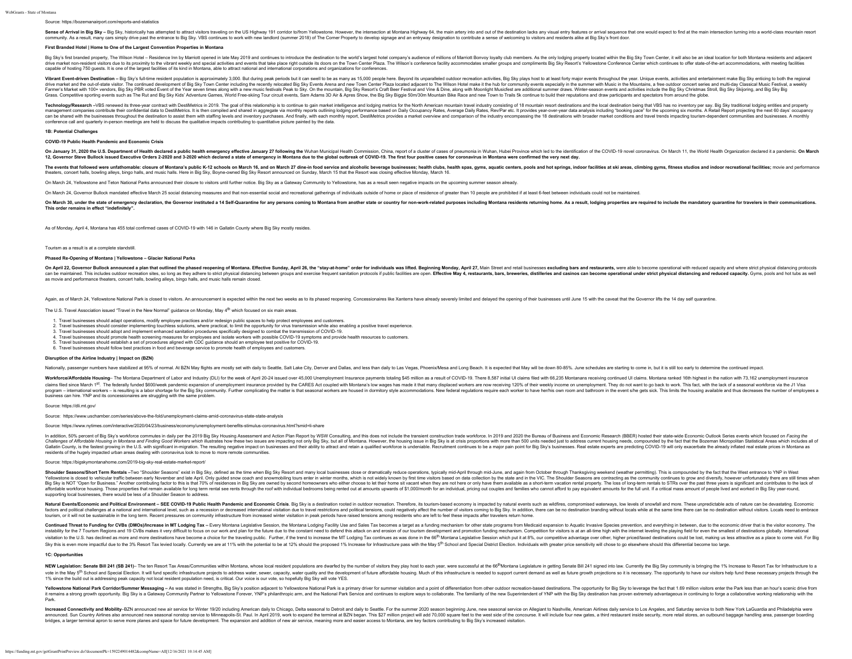#### Source:<https://bozemanairport.com/reports-and-statistics>

Sense of Arrival in Big Sky - Big Sky, historically has attempted to attract visitors traveling on the US Highway 191 corridor to/from Yellowstone. However, the intersection at Montana Highway 64, the main artery into and community. As a result, many cars simply drive past the entrance to Big Sky. VBS continues to work with new landlord (summer 2018) of The Corner Property to develop signage and an entryway designation to contribute a sense

#### **First Branded Hotel | Home to One of the Largest Convention Properties in Montana**

Big Sky's first branded property, The Wilson Hotel - Residence Inn by Marriott opened in late May 2019 and continues to introduce the destination to the world's largest hotel company's audience of millions of Marriott Bonv diversative market non-resident visitors due to its proximity to the vibrant weekly and special activities and events that take place right outside its doors on the Town Center Plaza. The Wilson's conference facture states capable of hosting 750 guests. It is one of the largest facilities of its kind in Montana, able to attract national and international corporations and organizations for conferences.

Vibrant Eventdriven Destination – Big Sky's full-time resident poulation is appromately 3,000. But during peak periods but it can sevent on the as many as f5,000 people here. Beyond its understore, and assume that but in t Farmer's Market with 100+ vendors, Big Sky PBR voted Event of the Year seven times along with a new music festivals Peak to Sky. On the mountain, Big Sky Resort's Craft Beer Festival and Vine & Dine, along with Moonlight M Grass. Competitive sporting events such as The Rut and Big Sky Kids' Adventure Games, World Free-skiing Tour circuit events, Sam Adams 3D Air & Apres Show, the Big Sky Biggie 50m/30m Mountain Bike Race and new Town to Trai

Technology/Research-VBS renewed its three-year contract with DestiMetrics in 2019. The goal of this relationship is to continue to gain market intelligence and lodging metrics for the North American mountain travel industr The management companies contribute their confidential data to DestiMetrics. It is then compiled and shared in appregate via monthly reports outlining lodging performance based on Daily Occupancy Rates, Average Daily Rates can be shared with the businesses throughout the destination to assist them with staffing levels and inventory purchases. And finally, with each monthly report, DestiMetrics provides a market overview and comparison of the conference call and quarterly in-person meetings are held to discuss the qualitative impacts contributing to quantitative picture painted by the data.

#### **1B: Potential Challenges**

#### **COVID-19 Public Health Pandemic and Economic Crisis**

On January 31, 2020 the U.S. Department of Health declared a public health energency effective January 27 following the Vibra Municipal Health Commission, China report of [a cluster of cases of](https://www.who.int/csr/don/05-january-2020-pneumonia-of-unkown-cause-china/en/) personnois in Monteral expect or Steve Bullock issued Executive Orders 2-2020 and 3-2020 which declared a state of emergency in Montana due to the global outbreak of COVID-19. The first four positive cases for coronavirus in Montana were confirmed the

The events that followed were unfathomable: closure of Montana's public K-12 schools on March 16, and on March 16, and on March 16, and on March 16, and on March 16, and on March 16, and on Mich in Sod service and alcoholi theaters, concert halls, bowling alleys, bingo halls, and music halls. Here in Big Sky, Boyne-owned Big Sky Resort announced on Sunday, March 15 that the Resort was closing effective Monday, March 16.

On March 24 Yellowstone and Teton National Parks announced their closure to visitors until further notice. Big Sky as a Gateway Community to Yellowstone, has as a result seen negative impacts on the upcoming summer season

On March 24, Governor Bullock mandated effective March 25 social distancing measures and that non-essential social and recreational gatherings of individuals outside of home or place of residence of greater than 10 people

On March 30, under the state of emergency declaration, the Governor instituted a 14 Self-Quarantine for any persons coming to Montana from another state or country for non-work-related purposes including Montana residents **This order remains in effect "indefinitely".**

As of Monday, April 4, Montana has 455 total confirmed cases of COVID-19 with 146 in Gallatin County where Big Sky mostly resides

Tourism as a result is at a complete standstill.

#### **Phased Re-Opening of Montana | Yellowstone – Glacier National Parks**

On April 22, Governor Bullock announced a plan that outlined the phased reopening of Montana. Effective Sunday, April 26, the "stay-at-home" order for individuals was lifted. Beginning Monday, April 27, Main Street and ret can be maintained. This includes outdoor recreation sites, so long as they adverted by a the reduced by the maintain person include and exercise frequent sanitation problems in the facture and problems and reduced as a bec as movie and performance theaters, concert halls, bowling alleys, bingo halls, and music halls remain closed.

Again, as of March 24, Yellowstone National Park is closed to visitors. An announcement is expected within the next two weeks as to its phased recopening. Concessionaires like Xanterra have already severely limited and del

The U.S. Travel Association issued "Travel in the New Normal" guidance on Monday, May 4<sup>th</sup> which focused on six main areas.

- 1. Travel businesses should adapt operations, modify employee practices and/or redesign public spaces to help protect employees and customers.
- 2. Travel businesses should consider implementing touchless solutions, where practical, to limit the opportunity for virus transmission while also enabling a positive travel experience.
- 3. Travel businesses should adopt and implement enhanced sanitation procedures specifically designed to combat the transmission of COVID-19.
- 4. Travel businesses should promote health screening measures for employees and isolate workers with possible COVID-19 symptoms and provide health resources to customers. 5. Travel businesses should establish a set of procedures aligned with CDC guidance should an employee test positive for COVID-19.
- 6. Travel businesses should follow best practices in food and beverage service to promote health of employees and customers.

**Disruption of the Airline Industry | Impact on (BZN)**

Nationally, passenger numbers have stabilized at 95% of normal. At BZN May flights are mostly set with daily to Seattle, Salt Lake City, Denver and Dallas, and less than daily to Las Vegas, Phoenix/Mesa and Long Beach. It

Workforce/Affordable Housing-The Montana Department of Labor and Industry (DLI) for the week of April 20-24 issued over 45,000 Unemployment Insurance payments totaling \$45 million as a result of COVID-19. There 8,587 initi claims filed since March 1<sup>51</sup>. The federally funded \$600/week pandemic expansion of unemployment insurance provided by the CARES Act coupled with Montana's low wages has made it that many displaced workers are now receivi program - international workers -- is resulting is a labor shortage for the Big Sky community. Further complicating the matter is that seasonal workers are housed in dormitory style accommodations. New federal regulations business can hire. YNP and its concessionaires are struggling with the same problem.

#### Source:<https://dli.mt.gov/>

Source: <https://www.uschamber.com/series/above-the-fold/unemployment-claims-amid-coronavirus-state-state-analysis>

Source:<https://www.nytimes.com/interactive/2020/04/23/business/economy/unemployment-benefits-stimulus-coronavirus.html?smid=li-share>

In addition 50% percent of Rin Sky's workforce commutes in daily per the 2019 Rin Sky Housing Assessment and Action Plan Report to WISW Consulting and this does ont include the transient construction trade workforce in 201 " adustration and the matter and the matter and the second matter and the second matter in the second matter and the matter of the matter and the matter and the matter and the matter and the matter and the matter and the m Gallatin County, is the fastest growing in the U.S. with significant in-migration. The resulting negative impact on businesses and their ability to attract and retain a qualified workforce is undenable. Recruitment continu residents of the hugely impacted urban areas dealing with coronavirus look to move to more remote communities.

#### Source:<https://bigskymontanahome.com/2019-big-sky-real-estate-market-report/>

Shoulder Seasons/Short Term Rentals -Two "Shoulder Seasons" exist in Big Sky, defined as the time when Big Sky Resort and many local businesses close or dramatically reduce operations, typically mid-April through mid-June, Yellowstone is duest and the start and the start of the start of the Anil Only guidd snow cach and snownbiling four enter in wher moths, which is not what wiself in the start and content in the start when the start when th affordable workforce housing. Those properties that remain available for long term rental see rents through the roof with individual bedrooms being rented out at amounts upwards of \$1,000/month for an individual, pricing o supporting local businesses, there would be less of a Shoulder Season to address.

Natural Events/Economic and Political Environment - SEE COVID-19 Public Health Pandemic and Economic Crisis. Big Sky is a destination rooted in outdoor recreation. Therefore, its tourism-based economy is impacted by natura factors and political challenges at a national and international level, such as a recession or decreased international visitation due to travel restrictions and political tensions, could negatively affect the number of vis tourism, or it will not be sustainable in the long term. Recent pressures on community infrastructure from increased winter visitation in peak periods have raised tensions among residents who are left to feel these impacts

Continued Threat to Funding for CVBs (DMOs)/Increase in MT Lodging Tax - Fvery Montana legislative Session the Montana I odging Facility Use and Sales Tax becomes a farget as a funding mechanism for other state programs fr instability for the 7 Tourism Regions and 19 CVBs makes it very difficult to focus on our work and plan for the future due to the constant need to defend this attack on and erestion of our busins makes means of constant ne visitation to the U.S. has declined as more and more destinations have become a choice for the traveling public. Further, if the trend to increase the MT Lodging Tax continues as was done in the 66<sup>th</sup> Montana Legislative Sky this is even more impactful due to the 3% Resort Tax levied locally. Currently we are at 11% with the potential to be at 12% should the proposed 1% Increase for Infrastructure pass with the May 5<sup>th</sup> School and Special

### **1C: Opport**

NEW Legislation: Senate Bill 241 (SB 241)- The ten Resort Tax Areas/Communities within Montana, whose local resident populations are dwarfed by the number of visitors they play host to each year, were successful at the 66<sup></sup> vote in the May 5<sup>th</sup> School and Special Election. It will fund specific infrastructure projects to address water, sewer, capacity, water quality and the development of future affordable housing. Much of this infrastructur 1% since the build out is addressing peak capacity not local resident population need, is critical. Our voice is our vote, so hopefully Big Sky will vote YES.

Yellowstone National Park Corridor/Summer Messaging - As was stated in Strengths, Big Sky's position adjacent to Yellowstone National Park is a primany driver for summer visitation and a point of differentiation from other it remains a strong growth opportunity. Big Sky is a Gateway Community Partner to Yellowstone Forever, YNP's philanthropic arm, and the National Park Service and continues to explore ways to collaborate. The familiarity of Park.

Increased Connectivity and Mobility-BZN announced new air service for Winter 19/20 including American daily to Chicago, Delta seasonal to Detroit and daily to Seattle. For the summer 2020 season beginning June, new seasona announced. Sun Country Airlines also announced new seasonal nonstop service to Minneapolis-St. Paul. In April 2019, work to expand the terminal at BZN began. This \$27 million project will add 70,000 square feet to the west bridges, a larger terminal apron to serve more planes and space for future development. The expansion and addition of new air service, meaning more and easier access to Montana, are key factors contributing to Big Sky's in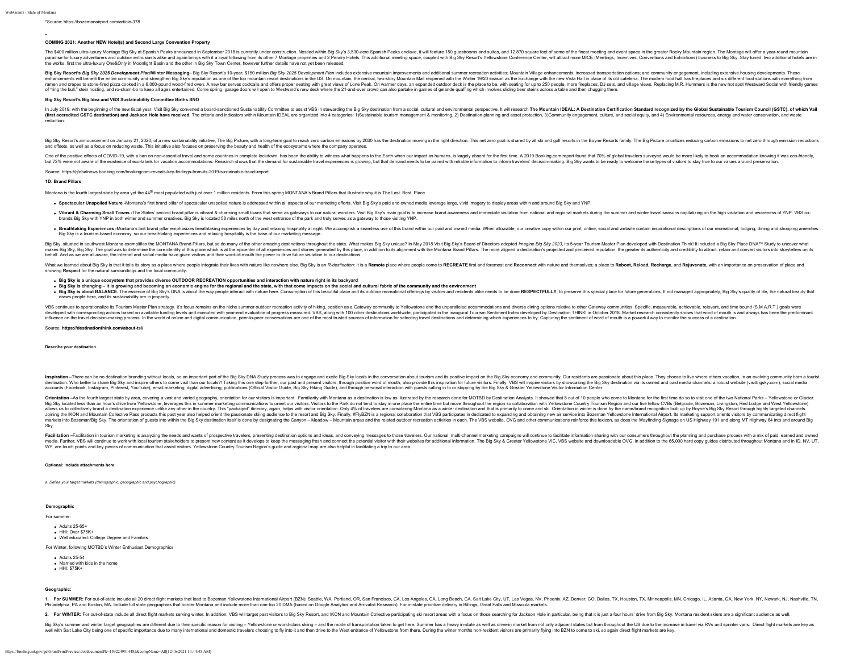#### rce: [https://bozemanairport.com/article-378](https://bozemanairport.com/2018enplanements)

#### **COMING 2021: Another NEW Hotel(s) and Second Large Convention Property**

The S400 million utra-buxuy Monday Big Shy at Shamin Pearly anounced in Spiember 2018 is currently under construction. Nestled with Big Sky 8.3.50-acre Spanish Pearly and state and subsect Scheme Scheme Scheme Scheme Schem the works, first the ultra-luxury One&Only in Moonlight Basin and the other in Big Sky Town Center, however further details have not yet been released.

Big Sky Resort's Big Sky 2025 Development Plan/Winter Messaging-Big Sky Resort's 10-year, \$150 million Big Sky 2025 Development Plan includes extensive mountain improvements and additional summer recreation activities; Mou enhancement will benefit the entire community and strengthe Big Sky reputation as one of the bromoutain resort desiminations in the USEN oncountain Media and only and the Windin Media and only and the present of the stande of "ring the bull," stein hosting, and ro-sham-bo to keep all ages entertained. Come spring, garage doors will open to Westward's new deck where the 21-and-over crowd can also partake in games of gelande quaffing which inv

#### **Big Sky Resort's Big Idea and VBS Sustainability Committee Births SNO**

In July 2019, with the beginning of the new fiscal year, Visit Big Sky convened a board-sanctioned Sustainability Committee to assist VBS in stewarding the Big Sky destination from a social, cultural and environmental pers (first accredited GSTC destination) and Jackson Hole have received. The criteria and indicators within Mountain IDEAL are organized into 4 categories: 1)Sustainable tourism management & monitoring, 2) Destination planning reduction.

Big Sky Resort's announcement on January 21, 2020, of a new sustainability initiative. The Big Picture, with a long-term goal to reach zero carbon emissions by 2030 has the destination moving in the right direction. This n and offsets, as well as a focus on reducing waste. This initiative also focuses on preserving the beauty and health of the ecosystems where the company operates.

One of the positive effects of COVID-19, with a ban on non-essential travel and some counties in complet lockdwn, has been the ablity to withere with the nour impact as eco-friendly. The state of the state in the state of

Source:<https://globalnews.booking.com/bookingcom-reveals-key-findings-from-its-2019-sustainable-travel-report>

#### **1D: Brand Pillars**

Montana is the fourth largest state by area yet the 44<sup>th</sup> most populated with just over 1 million residents. From this spring MONTANA's Brand Pillars that illustrate why it is The Last. Best. Place.

. Spectacular Unspoiled Nature -Montana's first brand pillar of spectacular unspoiled nature is addressed within all aspects of our marketing efforts. Visit Big Sky's paid and owned media leverage large, vivid imagery to d

- . Vibrant & Charming Small Towns -The States' second brand pillar is vibrant & charming small towns that serve as gateways to our natural wonders. Visit Big Sky's main goal is to increase brand awareness and immediate visi brands Big Sky with YNP in both winter and summer creatives. Big Sky is located 58 miles north of the west entrance of the park and truly serves as a gateway to those visiting YNP.
- . Breathtaking Experiences -Montana's last brand pillar emphasizes breathtaking experiences by day and relaxing hospitality at night. We accomplish a seamless use of this brand within our paid and owned media. When allowab Big Sky is a tourism-based economy, so our breathtaking experiences and relaxing hospitality is the base of our marketing message.

Big Sky, situated in southwest Montana exemplifies the MONTANA Brand Pillars, but so do many of the other amazing destinations throughout the state. What makes Big Sky unique? In May 2018 Visit Big Sky's Board of Directors makes Big Sky, Big Sky. The goal was to determine the core identity of this place which is at the epicenter of all experiences and stories enerated by this place, in addition to its alignment with the Montana Brand Pillars behalf. And as we are all aware, the internet and social media have given visitors and their word-of-mouth the power to drive future visitation to our destinations.

What we learned about Bio Sky is that it tells its story as a place where people integrate their lives with nature like powhere else. Bio Sky is an R-destination: It is a Remote place where people come to RECREATE first an showing **Respect** for the natural surroundings and the local community.

#### **Big Sky is a unique ecosystem that provides diverse OUTDOOR RECREATION opportunities and interaction with nature right in its backyard**

Big Sky is changing y – it is growing and becoming an economic engine for the regional and the state, with that come impects on the sail and cultural fabric stee. Consumption of this beautiful place and its buddor recreati draws people here, and its sustainability are in jeopardy.

VBS continues to perationalize it Tourism statery. It's focus remains on the summer outdoor recesiton activity of his ng, position as Gateway comunity to Yellowstone and the unparalled accomment index developed by Destinat influence on the travel decision-making process. In the world of online and digital communication, peer-to-peer conversations are one of the most trusted sources of information for selecting travel destinations and determi

#### Source: **<https://destinationthink.com/about-tsi/>**

**Describe your destination.**

Inspiration -There can be no destination branding without locals, so an important part of the Big Sky DNA Study process was to engage and excite Big Sky locals in the conversation about tourism and its positive impact on t destination. Who better to share Big Sky and inspire others to come visit than our locals?! Taking this one step further, our past and present visitors, through positive word of mouth, also provide this inspiration for fut accounts (Facebook, Instagram, Pinterest, YouTube), email marketing, digital advertising, publications (Official Visitor Guide, Big Sky Hiking Guide), and through personal interaction with guests calling in to or stopping

Orientation -As the fourth largest state by area, covering a vast and varied geography, orientation for our visitors is important. Familianity with Montana as a destination is low as illustrated by the research done for MO Big Sky located less than an hour's drive from Yellowstone, leverages this in summer marketing communications to orient our visitors. Visitors to the Park do not tend to stay in one place the entire time but move throughou allows us to collectively brand a destination experience unlike any other in the country. This "packaped" itinerary, again, helps with visitor orientation. Only 4% of travelers are considering Montana as a winter destinati Joining the IKON and Mountain Collective Pass products this past year also helped orient the passionate skiling audience to the resort and Big Sky. Finally, #FlyBZN is a regional collaboration that VBS participates in dedi markets into Bozeman/Big Sky. The orientation of quests into within the Big Sky destination itself is done by designating the Canyon - Meadow - Mountain areas and the related outdoor recreation activities in each. The VBS Sky.

Facilitation i-Facilitation in tourism marketing is analyzing the needs and wants of prospective travelers, presenting destination options and ideas, and conveying messages to those travelers. Cur national, multi-channel m

#### **Optional: Include attachments here**

*a. Define your target markets (demographic, geopgraphic and psychographic).*

### **Demographic**

For summer:

- Adults 25-65+ HHI: Over \$75K+
- Well educated: College Degree and Families
- 
- For Winter, following MOTBD's Winter Enthusiast Demographics
	- Adults 25-54
	- **Married with kids in the home**
- HHI: \$75K+

**Geographic:**

1. For SUMMER: For out-of-state include all 20 direct flight markets that lead to Bozeman Yellowstone International Airport (BZN); Seattle, WA, Portland, OR, San Francisco, CA, Los Angeles, CA, Long Beach, CA, Salt Lake Ci Philadelphia PA and Boston MA Include full state geographies that border Montana and include more than one top 20 DMA (based on Google Analytics and Arrivalist Research). For in-state prioritize delivery in Billings. Great

2. For WINTER: For out-of-state include all direct flight markets serving winter. In addition, VBS will target past visitors to Big Sky Resort, and IKON and Mountain Collective participating ski resort areas with a focus o

Big Sky's summer and winter target geographies are different due to their specific reason for visiting - Yellowstone or world-dass skiing - and the mode of transportation taken to get here. Summer has a heavy in-state as w well with Salt Lake City being one of specific importance due to many international and domestic travelers choosing to fly into it and then drive to the West entrance of Yellowstone from there. During the winter months non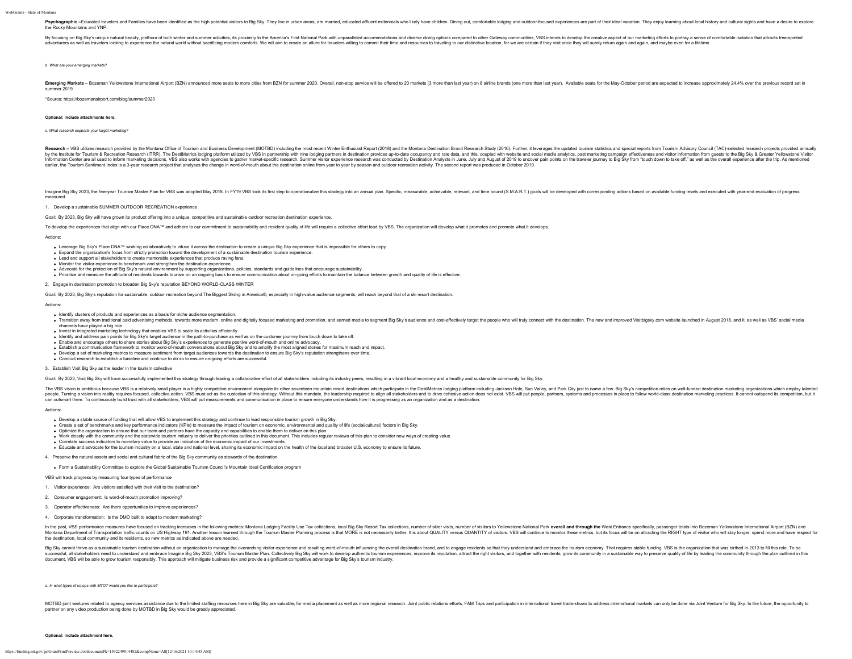#### WebGrants - State of Montana

Psychographic - Educated travelers and Families have been identified as the high potential visitors to Big Sky. They live in urban areas, are married, educated affluent millennials who likely have children. Dining out, com the Rocky Mountains and YNP.

By focusing on Big Sky's unique natural beauty, plethora of both winter and summer activities, its proximity to the America's First National Park with unparalleled accommodations and diverse dining options compared to othe adventurers as well as travelers looking to experience the natural world without sacrificing modern comforts. We will aim to create an allure for travelers willing to commit their time and resources to traveling to cour di

*b. What are your emerging markets?*

Emerging Markets - Bozeman Yellowstone International Airport (BZN) announced more seats to more cities from BZN for summer 2020. Overall, non-stop service will be offered to 20 markets (3 more than last year) on 8 airline summer 2019.

\*Source: <https://bozemanairport.com/blog/summer2020>

#### **Optional: Include attachments here.**

#### *c. What research supports your target marketing?*

Research = VBS utilizes research provided by the Montana Office of Tourism and Business Development (MOTBD) including the most recent Winter Enthusiast Recort (2018) and the Montana Destination Brand Research Study (2016). by the Institute for Tourism & Recreation Research (ITRR). The DestiMetrics lodging platform utilized by VBS in partnership with nine lodging partnership with nine lodging partnership with sines in destination provides up-Information Center are all used to inform marketing decisions. VBS also works with agencies to gather market-specific research. Summer wisitor experience research. Summer wisitor experience research was conducted by Destin earlier, the Tourism Sentiment Index is a 3-year research project that analyses the change in word-of-mouth about the destination online from year to year by season and outdoor recreation activity. The second report was pr

Imagine Big Sky 2023, the five-year Tourism Master Plan for VBS was adopted May 2018. In FY19 VBS took its first step to operationalize this strategy into an annual plan. Specific, measurable, achievable, relevant, and tim measured.

1. Develop a sustainable SUMMER OUTDOOR RECREATION experience

Goal: By 2023, Big Sky will have grown its product offering into a unique, competitive and sustainable outdoor recreation destination experience.

To develop the experiences that align with our Place DNA™ and adhere to our commitment to sustainability and resident quality of life will require a collective effort lead by VBS. The organization will develop what it pro

#### Actions:

- Leverage Big Sky's Place DNA™ working collaboratively to infuse it across the destination to create a unique Big Sky experience that is impossible for others to copy.
- Expand the organization's focus from strictly promotion toward the development of a sustainable destination tourism experience.
- Lead and support all stakeholders to create memorable experiences that produce raving fans.
- Monitor the visitor experience to benchmark and strengthen the destination experience.
- 
- Advoate for the protection of Big Sky's natural environment by supporting organizations, policies, standards and guidelines that encourage sustainability.<br>Prioritze and measure the attitude of residents towards tourism on

2. Engage in destination promotion to broaden Big Sky's reputation BEYOND WORLD-CLASS WINTER

Goal: By 2023, Big Sky's reputation for sustainable, outdoor recreation beyond The Biggest Skiing in America®, especially in high-value audience segments, will reach beyond that of a ski resort destination.

#### Actions:

- Identify clusters of products and experiences as a basis for niche audience segmentation.
- . Transition away from traditional paid advertising methods, towards more modern, online and digitally focused marketing and promotion, and earned media to segment Big Sky's audience and cost-effectively target the people channels have played a big role.
- Invest in integrated marketing technology that enables VBS to scale its activities efficiently.
- Identify and address pain points for Big Sky's target audience in the path-to-purchase as well as on the customer journey from touch down to take off.
- Enable and encourage others to share stories about Big Sky's experiences to generate positive word-of-mouth and online advocacy. Establish a communication framework to monitor word-of-mouth conversations about Big Sky and to amplify the most aligned stories for maximum reach and impact.
- Develop a set of marketing metrics to measure sentiment from target audiences towards the destination to ensure Big Sky's reputation strengthens over time.
- Conduct research to establish a baseline and continue to do so to ensure on-going efforts are successful.

3. Establish Visit Big Sky as the leader in the tourism collective

Goal: By 2023 Visit Big Sky will have successfully implemented this strateov through leading a collaborative effort of all stakeholders including its industry peers resulting in a vibrant local economy and a healthy and su

The VBS wision is a mainting which are all the station of the state of the state of the state of the state of the state of the state of the state of the state of the state of the state of the state of the state of the stat people. Tunnity requires for a man about the man and the about a state of the state of the statedy. Without his mandate, the leadership and state holders in a last about in space to ensure of the state of the state of the

#### Actions:

- Develop a stable source of funding that will allow VBS to implement this strategy and continue to lead responsible tourism growth in Big Sky.
- Create a set of benchmarks and key performance indicators (KPIs) to measure the impact of tourism on economic, environmental and quality of life (social/cultural) factors in Big Sky.
- Optimize the organization to ensure that our team and partners have the capacity and capabilities to enable them to deliver on this plan.
- Work dosely with the community and the statewide tourism industry to deliver the priorities outlined in this document. This includes regular reviews of this plan to consider new ways of creating value.<br>Correlate success in
- Educate and advocate for the tourism industry on a local, state and national level, sharing its economic impact on the health of the local and broader U.S. economy to ensure its future.
- 

4. Preserve the natural assets and social and cultural fabric of the Big Sky community as stewards of the destination

Form a Sustainability Committee to explore the Global Sustainable Tourism Council's Mountain Ideal Certification program

VBS will track progress by measuring four types of performance

- 1. Visitor experience: Are visitors satisfied with their visit to the destination?
- 2. Consumer engagement: Is word-of-mouth promotion improving?
- 3. Operator effectiveness: Are there opportunities to improve experiences?
- 4. Corporate transformation: Is the DMO built to adapt to modern marketing?

In the past, VBS performance measures have focused on tracking increases in the following metrics: Montana Lodging Facility Use Tax collections, local Big Sky Resort Tax collections, number of skier visits, number of skito Montana Department of Transportation value counter out of the counter which was a statement of the counter of the counter of the counter of the counter of the counter of the counter of the counter of the counter of the cou the destination, local community and its residents, so new metrics as indicated above are needed.

Big Sky cannot thrive as a sustantable burist many and a on the sustance to be not the interpret of the sustance in the sustance in the sustance in the sustance of the sustance of the sustance of the sustance of the sustan document, VBS will be able to grow tourism responsibly. This approach will mitigate business risk and provide a significant competitive advantage for Big Sky's tourism industry.

#### *a. In what types of co-ops with MTOT would you like to participate?*

MOTBD ionit ventures related to agency services assistance due to the limited staffing resources here in Big Sky are valuable, for media placement as well as more regional research. Joint public relations efforts. FAM Trip partner on any video production being done by MOTBD in Big Sky would be greatly appreciated.

#### **Optional: Include attachment here.**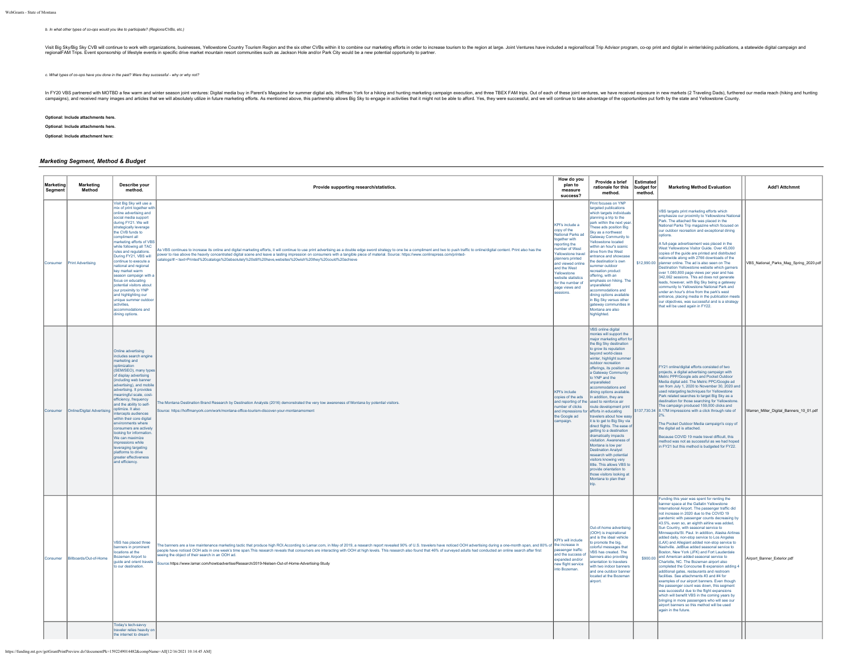### *b. In what other types of co-ops would you like to participate? (Regions/CVBs, etc.)*

Visi Bis World will construct to work with organizations, businesses, Yellowstone County Tourism Region and the six other CVBs within it to combine currente functions and the response to many predict and be a hearty counte

*c. What types of co-ops have you done in the past? Were they successful - why or why not?*

in FV20 VBS partnered with MOTBD a fow warm and wither season joint ventures: Digita media buy in Parent's Magazine for such and a blue to the such and how they are the such assume that the such assume that the such that i

**Optional: Include attachments here.**

**Optional: Include attachments here.**

**Optional: Include attachment here:**

## *Marketing Segment, Method & Budget*

| Marketing<br>Segment | Marketing<br>Method        | Describe your<br>method.                                                                                                                                                                                                                                                                                                                                                                                                                                                                                                                                                        | Provide supporting research/statistics.                                                                                                                                                                                                                                                                                                                                                                                                                                                                                                                                                                           | How do you<br>plan to<br>measure<br>success?                                                                                                                                                                                                                                 | Provide a brief<br>rationale for this<br>method.                                                                                                                                                                                                                                                                                                                                                                                                                                                                                                                                                                                                                                                                                                                                                                                              | Estimated<br>budget for<br>method. | <b>Marketing Method Evaluation</b>                                                                                                                                                                                                                                                                                                                                                                                                                                                                                                                                                                                                                                                                                                                                                                                                                                                                                                                                                                                                                                                                                                                 | <b>Add'l Attchmnt</b>                   |
|----------------------|----------------------------|---------------------------------------------------------------------------------------------------------------------------------------------------------------------------------------------------------------------------------------------------------------------------------------------------------------------------------------------------------------------------------------------------------------------------------------------------------------------------------------------------------------------------------------------------------------------------------|-------------------------------------------------------------------------------------------------------------------------------------------------------------------------------------------------------------------------------------------------------------------------------------------------------------------------------------------------------------------------------------------------------------------------------------------------------------------------------------------------------------------------------------------------------------------------------------------------------------------|------------------------------------------------------------------------------------------------------------------------------------------------------------------------------------------------------------------------------------------------------------------------------|-----------------------------------------------------------------------------------------------------------------------------------------------------------------------------------------------------------------------------------------------------------------------------------------------------------------------------------------------------------------------------------------------------------------------------------------------------------------------------------------------------------------------------------------------------------------------------------------------------------------------------------------------------------------------------------------------------------------------------------------------------------------------------------------------------------------------------------------------|------------------------------------|----------------------------------------------------------------------------------------------------------------------------------------------------------------------------------------------------------------------------------------------------------------------------------------------------------------------------------------------------------------------------------------------------------------------------------------------------------------------------------------------------------------------------------------------------------------------------------------------------------------------------------------------------------------------------------------------------------------------------------------------------------------------------------------------------------------------------------------------------------------------------------------------------------------------------------------------------------------------------------------------------------------------------------------------------------------------------------------------------------------------------------------------------|-----------------------------------------|
| Consumer             | Print Advertising          | Visit Big Sky will use a<br>nix of print together with<br>online advertising and<br>ocial media support<br>during FY21. We will<br>trategically leverage<br>the CVB funds to<br>compliment all<br>narketing efforts of VBS<br>while following all TAC<br>ules and regulations<br>During FY21, VBS will<br>ontinue to execute a<br>ational and regional<br>key market warm<br>ason campaign with<br>focus on educating<br>otential visitors about<br>our proximity to YNP<br>and highlighting our<br>unique summer outdoo<br>activities<br>accommodations and<br>dining options. | is VBS continues to increase its online and digital marketing efforts, it will continue to use print advertising as a double edge sword strategy to one be a compliment and two to push traffic to online/digital content. Pri<br>ower to rise above the heavily concentrated digital scene and leave a lasting impression on consumers with a tangible piece of material. Source: https://www.conlinspress.com/printed-<br>atalogs/#:~:text=Printed%20catalogs%20absolutelv%20still%20have.websites%20wish%20thev%20could%20achieve                                                                              | KPI's include a<br>copy of the<br>National Parks ad<br>together with<br>eporting the<br>umber of West<br>ellowstone travel<br>planners printed<br>and viewed online<br>and the West<br>Yellowstone<br>website statistics<br>for the number of<br>page views and<br>sessions. | Print focuses on YNP<br>argeted publications<br>which targets individual<br>planning a trip to the<br>nark within the next yea<br>These ads position Big<br>Sky as a northwest<br>Gateway Community to<br>ellowstone located<br>within an hour's scenic<br>trive from the West<br>entrance and showcase<br>the destination's own<br>ummer outdoor<br>ecreation product<br>ffering, with an<br>mphasis on hiking. The<br><b>Inparalleled</b><br>ccommodations and<br>dining options available<br>in Big Sky versus other<br>nateway communities in<br>Montana are also<br>highlighted.                                                                                                                                                                                                                                                         |                                    | VBS targets print marketing efforts which<br>emphasize our proximity to Yellowstone Nationa<br>Park. The attached file was placed in the<br>National Parks Trip magazine which focused on<br>our outdoor recreation and exceptional dining<br><b>ntions</b><br>A full-page advertisement was placed in the<br>West Yellowstone Visitor Guide. Over 45,000<br>copies of the guide are printed and distributed<br>stionwide along with 2766 downloads of the<br>\$12,990.00 planner online. The ad is also seen on The<br>Destination Yellowstone website which garners<br>over 1,080,800 page views per year and has<br>342,062 sessions. This ad does not generate<br>leads, however, with Big Sky being a gateway<br>community to Yellowstone National Park and<br>under an hour's drive from the nark's west<br>entrance, placing media in the publication meets<br>our objectives, was successful and is a strategy<br>that will be used again in FY22.                                                                                                                                                                                         | VBS_National_Parks_Mag_Spring_2020.pdf  |
| Consumer             | Online/Digital Advertising | Online advertising<br>ncludes search engine<br>marketing and<br>(SEM/SEO), many typer<br>of display advertising<br>(including web banner<br>advertising), and mobile<br>advertising. It provides<br>neaningful scale, cost-<br>fficiency, frequency<br>and the ability to self-<br>timize. It also<br>tercepts audiences<br>vithin their core digital<br>wironments where<br>onsumers are actively<br>poking for information<br>We can maximize<br>npressions while<br>veraging targeting<br>latforms to drive<br>greater effectiveness<br>and efficiency.                      | he Montana Destination Brand Research by Destination Analysts (2016) demonstrated the very low awareness of Montana by potential visitors.<br>jource: https://hoffmanyork.com/work/montana-office-tourism-discover-your-montanamoment                                                                                                                                                                                                                                                                                                                                                                             | KPI's include<br>copies of the ads<br>and reporting of the<br>number of clicks<br>and impressions fo<br>the Google ad<br>campaign.                                                                                                                                           | VBS online digital<br>onies will support the<br>najor marketing effort for<br>the Big Sky destination<br>to grow its reputation<br>bevond world-class<br>winter, highlight summ<br>outdoor recreation<br>offerings, its position as<br>a Gateway Community<br>to YNP and the<br>inparalleled<br>commodations and<br>lining options availabl<br>n addition, they are<br>used to reinforce air.<br>route development print<br>efforts in educating<br>travelers about how easy<br>it is to get to Big Sky via<br>direct flights. The ease o<br>getting to a destination<br>dramatically impacts<br>visitation. Awareness of<br>Montana is low ner<br><b>Destination Analyst</b><br>ssearch with potential<br>visitors knowing very<br>ittle. This allows VBS to<br>provide orientation to<br>those visitors looking at<br>Montana to plan their |                                    | FY21 online/digital efforts consisted of two<br>projects, a digital advertising campaign with<br>Metric PPP/Google ads and Pocket Outdoor<br>Media digital add. The Metric PPC/Google ad<br>ran from July 1, 2020 to November 30, 2020 and<br>used retargeting techniques for Yellowstone<br>Park related searches to target Big Sky as a<br>destination for those searching for Yellowstone<br>The campaign produced 159,000 clicks and<br>\$137,730.34 8.17M impressions with a click through rate of<br>The Pocket Outdoor Media campaign's copy of<br>the digital ad is attached.<br>Because COVID 19 made travel difficult, this<br>method was not as successful as we had hoped<br>in FY21 but this method is budgeted for FY22.                                                                                                                                                                                                                                                                                                                                                                                                             | Warren_Miller_Digital_Banners_10_01.pdf |
| Consumer             | Billboards/Out-of-Home     | VBS has placed three<br>anners in prominen<br>cations at the<br>zeman Airport to<br>guide and orient travel:<br>o our destination.<br>Today's tech-savvy                                                                                                                                                                                                                                                                                                                                                                                                                        | he banners are a low maintenance marketing tactic that produce high ROI.According to Lamar.com, in May of 2019, a research report revealed 90% of U.S. travelers have noticed OOH advertising during a one-month span, and 80<br>ople have noticed OOH ads in one week's time span.This research reveals that consumers are interacting with OOH at high levels. This research also found that 46% of surveyed adults had conducted an online search after firs<br>eing the object of their search in an OOH ad.<br>urce:https://www.lamar.com/howtoadvertise/Research/2019-Nielsen-Out-of-Home-Advertising-Study | KPI's will include<br>assenger traffic<br>and the success of<br>anilone behoever<br>ew flight service<br>into Bozeman.                                                                                                                                                       | Out-of-home advertising<br>(OOH) is inspirational<br>and is the ideal vehicle<br>o promote the big.<br>colorful messages that<br>VBS has created. The<br>anners also providing<br>rientation to travelers<br>with two indoor banners<br>and one outdoor banner<br>located at the Bozemar<br>irport                                                                                                                                                                                                                                                                                                                                                                                                                                                                                                                                            |                                    | unding this year was spent for renting the<br>banner space at the Gallatin Yellowstone<br>International Airport. The passenger traffic did<br>not increase in 2020 due to the COVID 19<br>pandemic with passenger counts decreasing by<br>43.5%, even so, an eighth airline was added,<br>Sun Country, with seasonal service to<br>Minneapolis/St. Paul. In addition, Alaska Airlines<br>added daily, non-stop service to Los Angeles<br>(LAX) and Allegiant added non-stop service to<br>Nashville, JetBlue added seasonal service to<br>Boston, New York (JFK) and Fort Lauderdale<br>\$900.00 and American added seasonal service to<br>Charlotte, NC. The Bozeman airport also<br>completed the Concourse B expansion adding 4<br>additional gates, restaurants and restroom<br>facilities. See attachments #3 and #4 for<br>examples of our airport banners. Even though<br>the passenger count was down, this segment<br>was successful due to the flight expansions<br>which will benefit VBS in the coming years by<br>bringing in more passengers who will see our<br>airport banners so this method will be used<br>again in the future. | Airport_Banner_Exterior.pdf             |
|                      |                            | traveler relies heavily o<br>the internet to dream                                                                                                                                                                                                                                                                                                                                                                                                                                                                                                                              |                                                                                                                                                                                                                                                                                                                                                                                                                                                                                                                                                                                                                   |                                                                                                                                                                                                                                                                              |                                                                                                                                                                                                                                                                                                                                                                                                                                                                                                                                                                                                                                                                                                                                                                                                                                               |                                    |                                                                                                                                                                                                                                                                                                                                                                                                                                                                                                                                                                                                                                                                                                                                                                                                                                                                                                                                                                                                                                                                                                                                                    |                                         |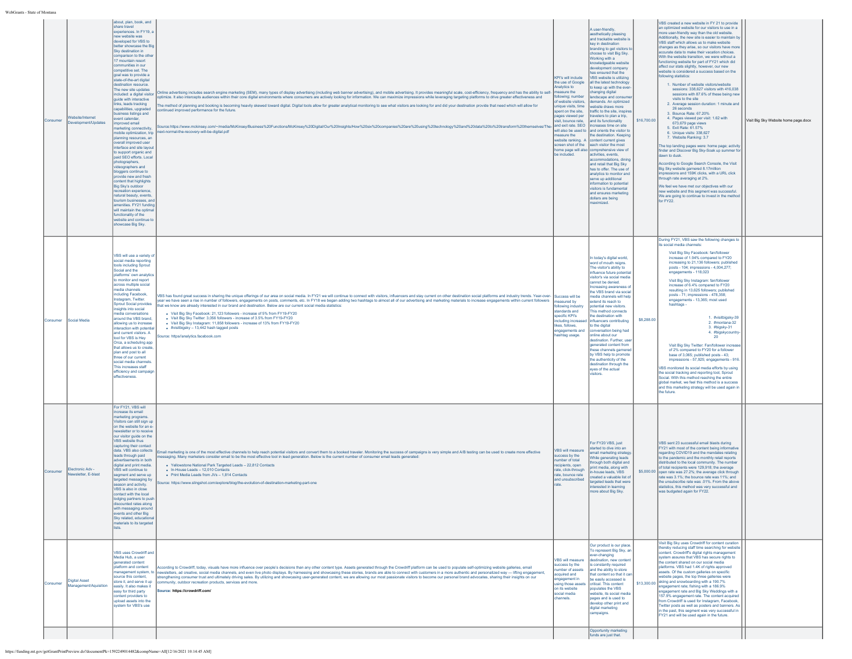| WebGrants - State of Montana |  |
|------------------------------|--|

|          |        |                                               | about, plan, book, and<br>share travel<br>xperiences. In FY19, a<br>new website was<br>developed for VBS to<br>better showcase the Big<br>Sky destination in                                                                                                                                                                                                                                                                                                                                                                                                                                                                                                                                                                                                                                                                                                                                   |                                                                                                                                                                                                                                                                                                                                                                                                                                                                                                                                                                                                                                                                                                                                                                                                                                                                                                                                                                                                             |                                                                                                                                                                                                                                                         | A user-friendly,<br>aesthetically pleasing<br>and trackable website i<br>key in destination                                                                                                                                                                                                                                                                                                                                                                                                                                                                                                                                                                                                                                                                                                                                                                                                                                             |             | VBS created a new website in FY 21 to provide<br>an optimized website for our visitors to use in a<br>more user-friendly way than the old website.<br>Additionally, the new site is easier to maintain by<br>VBS staff which allows us to make website                                                                                                                                                                                                                                                                                                                                                                                                                                                                                                                                                                                                                                                                                                                                                                                                                                                                                                                         |                                      |
|----------|--------|-----------------------------------------------|------------------------------------------------------------------------------------------------------------------------------------------------------------------------------------------------------------------------------------------------------------------------------------------------------------------------------------------------------------------------------------------------------------------------------------------------------------------------------------------------------------------------------------------------------------------------------------------------------------------------------------------------------------------------------------------------------------------------------------------------------------------------------------------------------------------------------------------------------------------------------------------------|-------------------------------------------------------------------------------------------------------------------------------------------------------------------------------------------------------------------------------------------------------------------------------------------------------------------------------------------------------------------------------------------------------------------------------------------------------------------------------------------------------------------------------------------------------------------------------------------------------------------------------------------------------------------------------------------------------------------------------------------------------------------------------------------------------------------------------------------------------------------------------------------------------------------------------------------------------------------------------------------------------------|---------------------------------------------------------------------------------------------------------------------------------------------------------------------------------------------------------------------------------------------------------|-----------------------------------------------------------------------------------------------------------------------------------------------------------------------------------------------------------------------------------------------------------------------------------------------------------------------------------------------------------------------------------------------------------------------------------------------------------------------------------------------------------------------------------------------------------------------------------------------------------------------------------------------------------------------------------------------------------------------------------------------------------------------------------------------------------------------------------------------------------------------------------------------------------------------------------------|-------------|--------------------------------------------------------------------------------------------------------------------------------------------------------------------------------------------------------------------------------------------------------------------------------------------------------------------------------------------------------------------------------------------------------------------------------------------------------------------------------------------------------------------------------------------------------------------------------------------------------------------------------------------------------------------------------------------------------------------------------------------------------------------------------------------------------------------------------------------------------------------------------------------------------------------------------------------------------------------------------------------------------------------------------------------------------------------------------------------------------------------------------------------------------------------------------|--------------------------------------|
|          | nsume  | /ebsite/Internet<br>welopment/Updates         | omparison to the othe<br>17 mountain resort<br>mmunities in our<br>competitive set. The<br>goal was to provide a<br>state-of-the-art digital<br>tination resource.<br>The new site updates<br>cluded: a digital visito<br>guide with interactive<br>nks, leads tracking<br>capabilities, upgraded<br>siness listings and<br>vent calendar,<br>proved email<br>arketing connectivity<br>nobile optimization, trip<br>planning resources, an<br>overall improved user<br>interface and site layou<br>o support organic and<br>paid SEO efforts. Local<br>hotographers,<br>videographers and<br>bloggers continue to<br>provide new and fresh<br>intent that highlights<br>Big Sky's outdoor<br>reation experience<br>natural beauty, events<br>tourism businesses, and<br>amenities, FY21 funding<br>will maintain the optin<br>unctionality of the<br>website and continue<br>showcase Big Sky. | Online advertising includes search engine marketing (SEM), many types of display advertising (including web banner advertising), and mobile advertising. It provides meaningful scale, cost-efficiency, frequency and has the<br>ptimize. It also intercepts audiences within their core digital environments where consumers are actively looking for information. We can maximize impressions while leveraging targeting platforms to drive greater effective<br>he method of planning and booking is becoming heavily skewed toward digital. Digital tools allow for greater analytical monitoring to see what visitors are looking for and did your destination provide that need which will<br>intinued improved performance for the future.<br>Source:https://www.mckinsey.com/~/media/McKinsey/Business%20Functions/McKinsey%20Digital/Our%20Insights/How%20six%20companies%20are%20using%20technology%20and%20data%20to%20transform%20themselves/The-<br>xt-normal-the-recovery-will-be-digital.pdf | KPI's will include<br>e use of Google<br>nalytics to<br>easure the<br>pllowing; number<br>of website visitors.<br>nique visits, time<br>pent on the site.<br>ages viewed per<br>risit, bounce rate.<br>and exit rate. SEO<br>easure the<br>be included. | branding to get visitors t<br>choose to visit Big Sky.<br>Working with a<br>nowledgeable website<br>development compant<br>has ensured that the<br>VBS website is utilizing<br>all the latest technology<br>to keep up with the eve<br>changing digital<br>indscape and consur<br>demands. An optimized<br>ebsite draws more<br>traffic to the site, inspire<br>avelers to plan a trip.<br>and its functionality<br>increases time on site<br>will also be used to land orients the visitor to<br>the destination. Keeping<br>vebsite ranking. A content current gives<br>screen shot of the each visitor the most<br>nome page will also comprehensive view of<br>activities events<br>accommodations, dining<br>and retail that Big Sky<br>has to offer. The use of<br>analytics to monitor and<br>serve up additional<br>formation to potentia<br>visitors is fundamental<br>and ensures marketing<br>dollars are being<br>iximized. | \$16,700.00 | changes as they arise, so our visitors have more<br>ccurate data to make their vacation choices.<br>With the website transition, we were without a<br>unctioning website for part of FY21 which did<br>affect our stats slightly, however, our new<br>website is considered a success based on the<br>following statistics:<br>1. Number of website visitors/website<br>sessions: 338,627 visitors with 416,038<br>sessions with 87.6% of these being new<br>visits to the site<br>2. Average session duration: 1 minute and<br>26 seconds<br>3. Bounce Rate: 67.20%<br>4. Pages viewed per visit: 1.62 with<br>673,679 page views<br>5. Exit Rate: 61.57%<br>6. Unique visits: 338,627<br>7. Website Ranking: 3.7<br>The top landing pages were: home page; activity<br>finder and Discover Big Sky-Soak up summer fo<br>dawn to dusk.<br>ccording to Google Search Console, the Visit<br>Big Sky website garnered 8.17million<br>npressions and 159K clicks, with a URL click<br>rough rate averaging at 2%.<br>We feel we have met our objectives with our<br>new website and this segment was successful.<br>We are going to continue to invest in the method<br>for FY22. | Visit Big Sky Website home page.docx |
|          | onsume | Social Media                                  | VBS will use a variety o<br>social media reporting<br>tools including Sprout<br>Social and the<br>platforms' own analytic<br>to monitor and report<br>cross multiple social<br>media channels<br>ncluding Facebook,<br>nstagram, Twitter.<br><b>Sprout Social provides</b><br>nsights into social<br>edia conversations<br>around the VBS brand,<br>owing us to increase<br>nteraction with potentia<br>and current visitors. A<br>tool for VBS is Hey<br>Orca, a scheduling app<br>that allows us to create<br>plan and post to all<br>three of our current<br>social media channels<br>This increases staff<br>fficiency and campaig<br>effectiveness.                                                                                                                                                                                                                                       | /BS has found great success in sharing the unique offerings of our area on social media. In FY21 we will continue to connect with visitors, influencers and stay current on other destination social platforms and industry tr<br>van we have seen a niember of folwers, engagements on posts, comments, etc. In FY18 we began adding two hashtags to almost all of our advertising and marketing materials to increase engagements within current followers<br>hat<br>· Visit Big Sky Facebook: 21,123 followers - increase of 5% from FY19-FY20<br>. Visit Big Sky Twitter: 3,056 followers - increase of 3.5% from FY19-FY20<br>· Visit Big Sky Instagram: 11,858 followers - increase of 13% from FY19-FY20<br>· #visitbigsky - 13,442 hash tagged posts<br>ource: https//analytics.facebook.com                                                                                                                                                                                                        | <b>Success will be</b><br>asured by<br>llowing industry<br>tandards and<br>pecific KPI's<br>cluding increased<br>likes, follows,<br>ngagements and<br>hashtag usage.                                                                                    | In today's digital world,<br>word of mouth reians.<br>The visitor's ability to<br>ofluence future potentia<br>visitor's via social media<br>cannot be denied.<br>ncreasing awareness o<br>the VBS brand via social<br>nedia channels will helr<br>extend its reach to<br>potential new visitors.<br>This method connects<br>the destination with<br>nfluencers contributing<br>to the digital<br>conversation being had<br>online about our<br>destination. Further, user<br>generated content from<br>hese channels garnered<br>by VBS help to promote<br>the authenticity of the<br>destination through the<br>eyes of the actual<br>visitors.                                                                                                                                                                                                                                                                                        | \$8,288.00  | During FY21, VBS saw the following changes to<br>its social media channels<br>Visit Big Sky Facebook: fan/follower<br>increase of 1.94% compared to FY20<br>increasing to 21,136 followers; published<br>posts - 104; impressions - 4,004,277;<br>engagements - 118,023<br>Visit Big Sky Instagram: fan/follower<br>increase of 6.4% compared to FY20<br>resulting in 13,625 followers; published<br>posts - 71: impressions - 478.358:<br>engagements - 13,365; most used<br>hashtags -<br>1. #visitbigsky-39<br>2. #montana-32<br>3. #biasky-31<br>4. #bigskycountry-<br>20<br>Visit Big Sky Twitter: Fan/follower increase<br>of 2% compared to FY20 for a follower<br>base of 3,065; published posts - 43;<br>impressions - 57,925; engagements - 916.<br>VBS monitored its social media efforts by using<br>the social tracking and reporting tool, Sprout<br>Social. With this method reaching the entire<br>global market, we feel this method is a success<br>and this marketing strategy will be used again in<br>the future.                                                                                                                                         |                                      |
| Consumer |        | Electronic Adv -<br>ewsletter. E-blast        | For FY21, VBS will<br>crease its email<br>narketing programs.<br>Visitors can still sign up<br>on the website for an e<br>ewsletter or to receive<br>our visitor guide on the<br>VBS website thus<br>capturing their contact<br>data. VBS also collects<br>leads through paid<br>advertisements in both<br>digital and print media<br>VBS will continue to<br>gment and serve up<br>argeted messaging by<br>ason and activity<br>VBS is also in close<br>lodging partners to push<br>counted rates along<br>with messaging around<br>vents and other Big<br>Sky related educations<br>aterials to its targeted                                                                                                                                                                                                                                                                                 | mail marketing is one of the most effective channels to help reach potential visitors and convert them to a booked traveler. Monitoring the success of campaigns is very simple and A/B testing can be used to create more eff<br>essaging. Many marketers consider email to be the most effective tool in lead generation. Below is the current number of consumer email leads generated:<br>• Yellowstone National Park Targeted Leads - 22,812 Contacts<br>• In-House Leads - 12.010 Contacts<br>. Print Media Leads from JVs - 1814 Contacts<br>ource: https://www.slingshot.com/explore/blog/the-evolution-of-destination-marketing-part-one                                                                                                                                                                                                                                                                                                                                                           | <b>VBS</b> will measure<br>uccess by the<br>umber of total<br>ecipients, open<br>rate, click-through<br>rate, bounce rate<br>and unsubscribed                                                                                                           | For FY20 VBS, just<br>started to dive into an<br>email marketing strategy<br>While generating leads<br>rough both digital and<br>wint media, along with<br>-house leads, VBS<br>reated a valuable list of<br>argeted leads that were<br>interested in learning<br>more about Big Sky.                                                                                                                                                                                                                                                                                                                                                                                                                                                                                                                                                                                                                                                   | \$5,000.00  | VBS sent 23 successful email blasts during<br>FY21 with most of the content being informative<br>egarding COVID19 and the mandates relating<br>to the pandemic and the monthly retail reports<br>distributed to the local community. The number<br>of total recipients were 129,918; the average<br>open rate was 27.2%; the average click through<br>rate was 3.1%; the bounce rate was 11%; and<br>the unsubscribe rate was .01%. From the above<br>statistics, this method was very successful and<br>was budgeted again for FY22.                                                                                                                                                                                                                                                                                                                                                                                                                                                                                                                                                                                                                                          |                                      |
| Consume  |        | <b>Digital Asset</b><br>Aanagement/Aquisition | <b>VBS uses Crowdriff and</b><br>Media Hub, a user<br>generated content<br>platform and content<br>anagement system, to<br>ource this content,<br>ore it, and serve it up<br>easily. It also makes it<br>asy for third party<br>content providers to<br>upload assets into the<br>ystem for VBS's use                                                                                                                                                                                                                                                                                                                                                                                                                                                                                                                                                                                          | According to Crowdriff, today, visuals have more influence over people's decisions than any other content type. Assets generated through the Crowdriff platform can be used to populate self-optimizing website galleries, ema<br>newsletters, ad creative, social media channels, and even live photo displays. By harnessing and showcasing these stories, brands are able to connect with customers in a more authentic and personalized way—lifting engageme<br>rengthening consumer trust and ultimately driving sales. By utilizing and showcasing user-generated content, we are allowing our most passionate visitors to become our personal brand advocates, sharing their insights on ou<br>nmunity, outdoor recreation products, services and more.<br>ource: https://crowdriff.com/                                                                                                                                                                                                             | VBS will measure<br>uccess by the<br>mber of assets<br>couired and<br>ngagement in<br>sing those assets<br>on its website<br>social media<br>channels.                                                                                                  | Our product is our place<br>To represent Big Sky, an<br>ver-changing<br>Idestination, new conten<br>is constantly required<br>and the ability to store<br>that content so that it ca<br>be easily accessed is<br>critical. This content<br>populates the VBS<br>vebsite its social medi<br>pages and is used to<br>develop other print and<br>digital marketing<br>campaigns.<br>Opportunity marketing<br>funds are just that.                                                                                                                                                                                                                                                                                                                                                                                                                                                                                                          |             | Visit Big Sky uses Crowdriff for content curation<br>hereby reducing staff time searching for website<br>content. Crowdriff's digital rights management<br>system assures that VBS has secure rights to<br>e content shared on our social media<br>platforms. VBS had 1.4K of rights approved<br>assets. Of the custom galleries on specific<br>vebsite pages, the top three galleries were<br>\$13,300.00 skiing and snowboarding with a 190.7%<br>ngagement rate; fishing with a 186.9%<br>ngagement rate and Big Sky Weddings with a<br>157.9% engagement rate. The content acquired<br>from Crowdriff is used for Instagram, Facebook,<br>Twitter posts as well as posters and banners. As<br>n the past, this segment was very successful in<br>FY21 and will be used again in the future.                                                                                                                                                                                                                                                                                                                                                                                |                                      |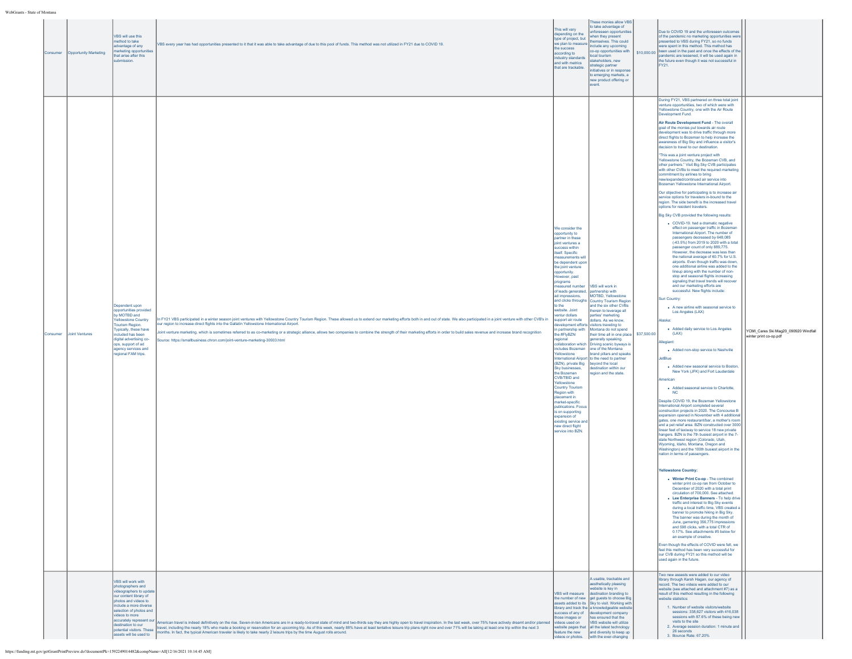| : oI Montana |                       |                                                                                                                                                                                                                                                                                                   |                                                                                                                                                                                                                                                                                                                                                                                                                                                                                                                                                                                                                                            |                                                                                                                                                                                                                                                                                                                                                                                                                                                                                                                                                                                                                                                                                                                               |                                                                                                                                                                                                                                                                                                                                                                                                                                                                                                                                                                          |             |                                                                                                                                                                                                                                                                                                                                                                                                                                                                                                                                                                                                                                                                                                                                                                                                                                                                                                                                                                                                                                                                                                                                                                                                                                                                                                                                                                                                                                                                                                                                                                                                                                                                                                                                                                                                                                                                                                                                                                                                                                                                                                                                                                                                                                                                                                                                                                                                                                                                                                                                                                                                                                                                                                                                                                                                                                                                                                                                                                                                                                                                                                                                                                                                                                                                                                                                                                                             |                                                                |
|--------------|-----------------------|---------------------------------------------------------------------------------------------------------------------------------------------------------------------------------------------------------------------------------------------------------------------------------------------------|--------------------------------------------------------------------------------------------------------------------------------------------------------------------------------------------------------------------------------------------------------------------------------------------------------------------------------------------------------------------------------------------------------------------------------------------------------------------------------------------------------------------------------------------------------------------------------------------------------------------------------------------|-------------------------------------------------------------------------------------------------------------------------------------------------------------------------------------------------------------------------------------------------------------------------------------------------------------------------------------------------------------------------------------------------------------------------------------------------------------------------------------------------------------------------------------------------------------------------------------------------------------------------------------------------------------------------------------------------------------------------------|--------------------------------------------------------------------------------------------------------------------------------------------------------------------------------------------------------------------------------------------------------------------------------------------------------------------------------------------------------------------------------------------------------------------------------------------------------------------------------------------------------------------------------------------------------------------------|-------------|---------------------------------------------------------------------------------------------------------------------------------------------------------------------------------------------------------------------------------------------------------------------------------------------------------------------------------------------------------------------------------------------------------------------------------------------------------------------------------------------------------------------------------------------------------------------------------------------------------------------------------------------------------------------------------------------------------------------------------------------------------------------------------------------------------------------------------------------------------------------------------------------------------------------------------------------------------------------------------------------------------------------------------------------------------------------------------------------------------------------------------------------------------------------------------------------------------------------------------------------------------------------------------------------------------------------------------------------------------------------------------------------------------------------------------------------------------------------------------------------------------------------------------------------------------------------------------------------------------------------------------------------------------------------------------------------------------------------------------------------------------------------------------------------------------------------------------------------------------------------------------------------------------------------------------------------------------------------------------------------------------------------------------------------------------------------------------------------------------------------------------------------------------------------------------------------------------------------------------------------------------------------------------------------------------------------------------------------------------------------------------------------------------------------------------------------------------------------------------------------------------------------------------------------------------------------------------------------------------------------------------------------------------------------------------------------------------------------------------------------------------------------------------------------------------------------------------------------------------------------------------------------------------------------------------------------------------------------------------------------------------------------------------------------------------------------------------------------------------------------------------------------------------------------------------------------------------------------------------------------------------------------------------------------------------------------------------------------------------------------------------------------|----------------------------------------------------------------|
| Consumer     | Opportunity Marketing | VBS will use this<br>method to take<br>advantage of any<br>narketing opportunities<br>hat arise after this<br>bmission.                                                                                                                                                                           | VBS every year has had opportunities presented to it that it was able to take advantage of due to this pool of funds. This method was not utilized in FY21 due to COVID 19.                                                                                                                                                                                                                                                                                                                                                                                                                                                                | his will vary<br>epending on the<br>type of project, but<br>we plan to measure<br>the success<br>ccording to<br>industry standards<br>and with metrics<br>that are trackable.                                                                                                                                                                                                                                                                                                                                                                                                                                                                                                                                                 | These monies allow VBS<br>to take advantage of<br>preseen opportunitie<br>then they present<br>mselves. This could<br>nclude any upcoming<br><b>b-op opportunities with</b><br>ocal tourism<br>takeholders, new<br>trategic partner<br>tiatives or in response<br>to emerging markets, a<br>new product offering or<br>event.                                                                                                                                                                                                                                            | \$10,000.00 | Due to COVID 19 and the unforeseen outcomes<br>of the pandemic no marketing opportunities wer<br>resented to VBS during FY21, so no funds<br>were spent in this method. This method has<br>been used in the past and once the effects of the<br>andemic are lessened, it will be used again in<br>he future even though it was not successful in<br>FY21.                                                                                                                                                                                                                                                                                                                                                                                                                                                                                                                                                                                                                                                                                                                                                                                                                                                                                                                                                                                                                                                                                                                                                                                                                                                                                                                                                                                                                                                                                                                                                                                                                                                                                                                                                                                                                                                                                                                                                                                                                                                                                                                                                                                                                                                                                                                                                                                                                                                                                                                                                                                                                                                                                                                                                                                                                                                                                                                                                                                                                                   |                                                                |
| Consumer     | Joint Ventures        | Dependent upon<br>opportunities provided<br>by MOTBD and<br><b>Yellowstone Country</b><br>Tourism Region.<br>Typically, these have<br>cluded has been<br>digital advertising co-<br>ops, support of ad<br>agency services and<br>gional FAM trips.                                                | In FY21 VBS participated in a winter season joint ventures with Yellowstone Country Tourism Region. These allowed us to extend our marketing efforts both in and out of state. We also participated in a joint venture with ot<br>ur region to increase direct flights into the Gallatin Yellowstone International Airport.<br>loint venture marketing, which is sometimes referred to as co-marketing or a strategic alliance, allows two companies to combine the strength of their marketing efforts in order to build sales revenue and increase brand re<br>ource: https://smallbusiness.chron.com/joint-venture-marketing-30933.html | We consider the<br>opportunity to<br>partner in these<br>joint ventures a<br>success within<br>itself. Specific<br>neasurements will<br>be dependent upor<br>the joint venture<br>opportunity.<br>lowever, past<br>programs<br>easured number<br>of leads generated,<br>ad impressions,<br>and clicks throughs<br>to the<br>website. Joint<br>entur dollars<br>support air route<br>the #FlyBZN<br>egional<br>Yellowstone<br>(BZN), private Big<br>Sky businesses,<br>the Bozeman<br>CVB/TBID and<br><b>Glowstone</b><br><b>Country Tourism</b><br>Region with<br>placement in<br>market-specific<br>publications, Focus<br>is on supporting<br>expansion of<br>existing service and<br>new direct flight<br>ervice into BZN. | VBS will work in<br>artnership with<br>MOTBD, Yellowstone<br>Country Tourism Region<br>ind the six other CVBs<br>therein to leverage all<br>arties' marketing<br>dollars. As we know,<br>evelopment efforts visitors traveling to<br>in partnership with Montana do not spend<br>their time all in one place<br>enerally speaking.<br>collaboration which Driving scenic byways is<br>includes Bozeman one of the Montana<br>rand pillars and speaks<br>nternational Airport to the need to partner<br>beyond the local<br>lestination within our<br>gion and the state. | \$37,500.00 | During FY21, VBS partnered on three total joint<br>venture opportunities, two of which were with<br>Yellowstone Country, one with the Air Route<br>Development Fund.<br>Air Route Development Fund - The overall<br>goal of the monies put towards air route<br>development was to drive traffic through more<br>direct flights to Bozeman to help increase the<br>awareness of Big Sky and influence a visitor's<br>decision to travel to our destination.<br>"This was a joint venture project with<br>Yellowstone Country, the Bozeman CVB, and<br>other partners." Visit Big Sky CVB participates<br>with other CVBs to meet the required marketing<br>commitment by airlines to bring<br>new/expanded/continued air service into<br>Bozeman Yellowstone International Airport.<br>Our objective for participating is to increase air<br>service options for travelers in-bound to the<br>region. The side benefit is the increased travel<br>options for resident travelers.<br>Big Sky CVB provided the following results:<br>• COVID-19, had a dramatic negative<br>effect on passenger traffic in Bozeman<br>International Airport. The number of<br>passengers decreased by 648,085<br>(-43.5%) from 2019 to 2020 with a total<br>passenger count of only 889,775.<br>However, the decrease was less than<br>the national average of 60.7% for U.S.<br>airports. Even though traffic was down,<br>one additional airline was added to the<br>lineup along with the number of non-<br>stop and seasonal flights increasing<br>signaling that travel trends will recover<br>and our marketing efforts are<br>successful. New flights include:<br>Sun Country:<br>. A new airline with seasonal service to<br>Los Angeles (LAX)<br>laska:<br>. Added daily service to Los Angeles<br>(LAX)<br>llegiant<br>. Added non-stop service to Nashville<br>letBlue<br>• Added new seasonal service to Boston<br>New York (JFK) and Fort Lauderdale<br>merican<br>• Added seasonal service to Charlotte,<br><b>NC</b><br>Despite COVID 19, the Bozeman Yellowstone<br>nternational Airport completed several<br>construction projects in 2020. The Concourse B<br>xpansion opened in November with 4 additional<br>gates, one more restaurant/bar, a mother's room<br>and a pet relief area. BZN constructed over 3000<br>inear feet of taxiway to service 18 new private<br>angers. BZN is the 7th busiest airport in the 7-<br>state Northwest region (Colorado, Utah,<br>Wyoming, Idaho, Montana, Oregon and<br>Washington) and the 100th busiest airport in the<br>ation in terms of passengers.<br><b>Yellowstone Country:</b><br>. Winter Print Co-op - The combined<br>winter print co-op ran from October to<br>December of 2020 with a total print<br>circulation of 700,000. See attached.<br>• Lee Enterprise Banners - To help drive<br>traffic and interest to Big Sky events<br>during a local traffic time, VBS created a<br>banner to promote hiking in Big Sky.<br>The banner was during the month of<br>June, garnering 356,775 impressions<br>and 598 clicks, with a total CTR of<br>0.17%. See attachments #5 below for<br>an example of creative.<br>Even though the effects of COVID were felt, we<br>feel this method has been very successful for<br>our CVB during FY21 so this method will be<br>sed again in the future.<br>Two new assests were added to our video | YCMI_Cares Ski Mag20_090920 Windfall<br>winter print co-op.pdf |
|              |                       | VBS will work with<br>photographers and<br>videographers to updat<br>our content library of<br>photos and videos to<br>include a more diverse<br>selection of photos and<br>videos to more<br>accurately represent our<br>destination to our<br>ootential visitors. These<br>sets will be used to | American travel is indeed definitively on the rise. Seven-in-ten Americans are in a ready-to-travel state of mind and two-thirds say they are highly open to travel inspiration. In the last week, over 75% have actively drea<br>travel, including the nearly 18% who made a booking or reservation for an upcoming trip. As of this week, nearly 88% have at least tentative leisure trip plans right now and over 71% will be taking at least one trip within<br>months. In fact, the typical American traveler is likely to take nearly 2 leisure trips by the time August rolls around.                                               | ose images or<br>videos used on<br>ature the new                                                                                                                                                                                                                                                                                                                                                                                                                                                                                                                                                                                                                                                                              | A usable, trackable and<br>aesthetically pleasing<br>ebsite is key in<br>VBS will measure destination branding to<br>the number of new get guests to choose Big<br>ssets added to its Sky to visit. Working with<br>library and track the a knowledgeable website<br>uccess of any of development company<br>has ensured that the<br>VBS website will utilize<br>vebsite pages that all the latest technology<br>and diversity to keep up<br>deos or photos. with the ever-changing                                                                                      |             | brary through Karsh Hagan, our agency of<br>record. The two videos were added to our<br>vebsite (see attached and attachment #7) as a<br>result of this method resulting in the following<br>ebsite statistics:<br>1. Number of website visitors/website<br>sessions: 338,627 visitors with 416,038<br>sessions with 87.6% of these being new<br>visits to the site<br>2. Average session duration: 1 minute and<br>26 seconds<br>3. Bounce Rate: 67.20%                                                                                                                                                                                                                                                                                                                                                                                                                                                                                                                                                                                                                                                                                                                                                                                                                                                                                                                                                                                                                                                                                                                                                                                                                                                                                                                                                                                                                                                                                                                                                                                                                                                                                                                                                                                                                                                                                                                                                                                                                                                                                                                                                                                                                                                                                                                                                                                                                                                                                                                                                                                                                                                                                                                                                                                                                                                                                                                                    |                                                                |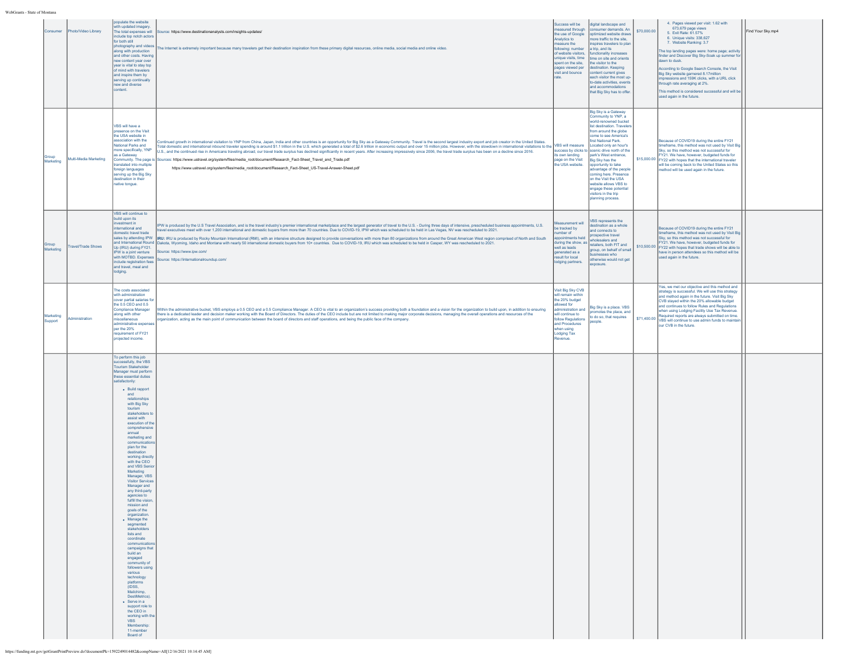| nsumer               | hoto/Video Library    | populate the website<br>with updated imagery.<br>The total expenses will<br>include top notch actors<br>for both still<br>photography and video<br>along with production<br>and other costs. Having<br>new content year over<br>vear is vital to stay too<br>of mind with travelers<br>and inspire them by<br>serving up continually<br>new and diverse<br>content.                                                                                                                                                                                                                                                                                                                                                                                                                                                                                                                                                                                                                                   | purce: https://www.destinationanalysts.com/insights-updates/<br>he Internet is extremely important because many travelers get their destination inspiration from these primary digital resources, online media, social media and online video.                                                                                                                                                                                                                                                                                                                                                                                                                                                                                                                                                                                                                                                                                                  | uccess will be<br>leasured through<br>he use of Google<br>Analytics to<br>asure the<br>following: number<br>of website visitors,<br>unique visits, time<br>spent on the site,<br>pages viewed per<br>visit and bounce | digital landscape and<br>onsumer demands. An<br>optimized website draws<br>nore traffic to the site,<br>spires travelers to plar<br>a trip, and its<br>functionality increases<br>time on site and orients<br>the visitor to the<br>destination. Keeping<br>content current gives<br>each visitor the most up<br>to-date activities, events<br>and accommodations<br>that Big Sky has to offer                                                                                                      | \$70,000.00 | 4. Pages viewed per visit: 1.62 with<br>673,679 page views<br>5. Exit Rate: 61.57%<br>6 Unique visits: 338.627<br>7. Website Ranking: 3.7<br>The top landing pages were: home page; activity<br>finder and Discover Big Sky-Soak up summer fo<br>dawn to dusk.<br>According to Google Search Console, the Visit<br>Big Sky website garnered 8.17 million<br>npressions and 159K clicks, with a URL click<br>through rate averaging at 2%.<br>This method is considered successful and will be<br>used again in the future. | Find Your Sky.mp4 |
|----------------------|-----------------------|-------------------------------------------------------------------------------------------------------------------------------------------------------------------------------------------------------------------------------------------------------------------------------------------------------------------------------------------------------------------------------------------------------------------------------------------------------------------------------------------------------------------------------------------------------------------------------------------------------------------------------------------------------------------------------------------------------------------------------------------------------------------------------------------------------------------------------------------------------------------------------------------------------------------------------------------------------------------------------------------------------|-------------------------------------------------------------------------------------------------------------------------------------------------------------------------------------------------------------------------------------------------------------------------------------------------------------------------------------------------------------------------------------------------------------------------------------------------------------------------------------------------------------------------------------------------------------------------------------------------------------------------------------------------------------------------------------------------------------------------------------------------------------------------------------------------------------------------------------------------------------------------------------------------------------------------------------------------|-----------------------------------------------------------------------------------------------------------------------------------------------------------------------------------------------------------------------|-----------------------------------------------------------------------------------------------------------------------------------------------------------------------------------------------------------------------------------------------------------------------------------------------------------------------------------------------------------------------------------------------------------------------------------------------------------------------------------------------------|-------------|----------------------------------------------------------------------------------------------------------------------------------------------------------------------------------------------------------------------------------------------------------------------------------------------------------------------------------------------------------------------------------------------------------------------------------------------------------------------------------------------------------------------------|-------------------|
| Marketing            | Multi-Media Marketing | VBS will have a<br>sence on the Visit<br>the USA website in<br>sociation with the<br>National Parks and<br>nore specifically, YNP<br>as a Gateway<br>Community. The page i<br>ranslated into multiple<br>foreign languages<br>serving up the Big Sky<br>destination in their<br>native tongue.                                                                                                                                                                                                                                                                                                                                                                                                                                                                                                                                                                                                                                                                                                        | ontinued growth in international visitation to YNP from China, Japan, India and other countries is an opportunity for Big Sky as a Gateway Community. Travel is the second largest industry export and job creator in the Unit<br>Total domestic and international inbound traveler spending is around \$1.1 trillion in the U.S. which generated a total of \$2.6 trillion in economic output and over 15 million jobs. However, with the slowdown in internation<br>U.S., and the continued rise in Americans traveling abroad, our travel trade surplus has declined significantly in recent years. After increasing impressively since 2006, the travel trade surplus has been on a decline sinc<br>rces: https://www.ustravel.org/system/files/media_root/document/Research_Fact-Sheet_Travel_and_Trade.pdf<br>https://www.ustravel.org/system/files/media_root/document/Research_Fact-Sheet_US-Travel-Answer-Sheet.pdf                    | its own landing<br>page on the Visit<br>the USA website.                                                                                                                                                              | Big Sky is a Gateway<br>nmunity to YNP, a<br>world-renowned bucket<br>list destination. Traveler<br>from around the globe<br>come to see America's<br>first National Park.<br>Located only an hour's<br>success by clicks to scenic drive north of the<br>park's West entrance,<br>Big Sky has the<br>opportunity to take<br>advantage of the people<br>coming here. Presence<br>on the Visit the USA<br>website allows VBS to<br>engage these potential<br>visitors in the trip<br>anning process. |             | Because of COVID19 during the entire FY21<br>timeframe, this method was not used by Visit Big<br>Sky, so this method was not successful for<br>FY21. We have, however, budgeted funds for<br>\$15,000.00 FY22 with hopes that the international traveler<br>will be coming back to the United States so this<br>nethod will be used again in the future.                                                                                                                                                                   |                   |
| Group<br>Marketing   | ravel/Trade Shows     | VBS will continue to<br>build upon its<br>westment in<br>international and<br>domestic travel trade<br>sales by attending IPW<br>and International Round<br>Up (IRU) during FY21.<br>IPW is a joint venture<br>with MOTBD. Expenses<br>include registration fee<br>and travel, meal and<br>lodging.                                                                                                                                                                                                                                                                                                                                                                                                                                                                                                                                                                                                                                                                                                   | IPW is produced by the U.S Travel Association, and is the travel industry's premier international marketplace and the largest generator of travel to the U.S. - During three days of intensive, prescheduled business appointm<br>vel executives meet with over 1,200 international and domestic buvers from more than 70 countries. Due to COVID-19, IPW which was scheduled to be held in Las Vegas, NV was rescheduled to 2021.<br>IRU: IRU is produced by Rocky Mountain International (RMI), with an intensive structure designed to provide conversations with more than 80 organizations from around the Great American West region comprised of North and So<br>akota, Wyoming, Idaho and Montana with nearly 50 international domestic buyers from 10+ countries. Due to COVID-19, IRU which was scheduled to be held in Casper, WY was rescheduled to 2021.<br>ource: https://www.ipw.com/<br>urce: https://internationalroundup.com/ | <b>Iliw tnement</b><br>e tracked by<br>umber of<br>pointments held<br>uring the show, as<br>well as leads<br>enerated as a<br>esult for local<br>odging partners.                                                     | VBS represents the<br>destination as a whole<br>and connects to<br>ospective travel<br>wholesalers and<br>retailers, both FIT and<br>group, on behalf of sma<br>usinesses who<br>otherwise would not get<br>exposure                                                                                                                                                                                                                                                                                |             | Because of COVID19 during the entire FY21<br>timeframe, this method was not used by Visit Big<br>Sky, so this method was not successful for<br>FY21. We have, however, budgeted funds for<br>\$10,500.00 FY22 with hopes that trade shows will be able to<br>have in person attendees so this method will be<br>used again in the future.                                                                                                                                                                                  |                   |
| Marketing<br>Support | dministration         | The costs associated<br>with administration<br>cover partial salaries fo<br>the 0.5 CEO and 0.5<br>Compliance Manager<br>along with other<br>miscellaneous<br>administrative expen<br>per the 20%<br>equirement of FY21<br>projected income.                                                                                                                                                                                                                                                                                                                                                                                                                                                                                                                                                                                                                                                                                                                                                          | fithin the administrative bucket, VBS employs a 0.5 CEO and a 0.5 Compliance Manager. A CEO is vital to an organization's success providing both a foundation and a vision for the organization to build upon, in addition to<br>ere is a dedicated leader and decision maker working with the Board of Directors. The duties of the CEO include but are not limited to making major corporate decisions, managing the overall operations and resources of the<br>organization, acting as the main point of communication between the board of directors and staff operations, and being the public face of the company.                                                                                                                                                                                                                                                                                                                        | Visit Big Sky CVB<br>will remain within<br>the 20% budget<br>llowed for<br>administration and<br>will continue to<br>follow Regulations<br>and Procedures<br>when using<br>Lodging Tax<br>Revenue.                    | Big Sky is a place. VBS<br>promotes the place, and<br>to do so, that requires<br>people.                                                                                                                                                                                                                                                                                                                                                                                                            |             | Yes, we met our objective and this method and<br>strategy is successful. We will use this strategy<br>and method again in the future. Visit Big Sky<br>CVB staved within the 20% allowable budget<br>and continues to follow Rules and Regulations<br>when using Lodging Facility Use Tax Revenue.<br>Required reports are always submitted on time.<br>\$71,400.00 Nequired reports with writing and the funds to maintain<br>our CVB in the future.                                                                      |                   |
|                      |                       | To perform this job<br>successfully, the VBS<br><b>Tourism Stakeholder</b><br>Manager must perform<br>these essential duties<br>satisfactorily:<br>• Build rapport<br>and<br>relationships<br>with Big Sky<br>tourism<br>stakeholders to<br>assist with<br>execution of the<br>comprehensive<br>annual<br>marketing and<br>communicatio<br>plan for the<br>destination<br>working directly<br>with the CEO<br>and VBS Senio<br>Marketing<br>Manager, VBS<br><b>Visitor Services</b><br>Manager and<br>any third-party<br>agencies to<br>fulfill the vision<br>mission and<br>goals of the<br>organization<br>$\bullet$ Manage the<br>segmented<br>stakeholders<br>lists and<br>coordinate<br>communicatio<br>campaigns that<br>build an<br>engaged<br>community of<br>followers using<br>various<br>technology<br>platforms<br><b>IIDSS</b><br>Mailchimp.<br>DestiMetrics).<br>• Serve in a<br>support role to<br>the CEO in<br>working with th<br><b>VBS</b><br>Membership:<br>11-member<br>Board of |                                                                                                                                                                                                                                                                                                                                                                                                                                                                                                                                                                                                                                                                                                                                                                                                                                                                                                                                                 |                                                                                                                                                                                                                       |                                                                                                                                                                                                                                                                                                                                                                                                                                                                                                     |             |                                                                                                                                                                                                                                                                                                                                                                                                                                                                                                                            |                   |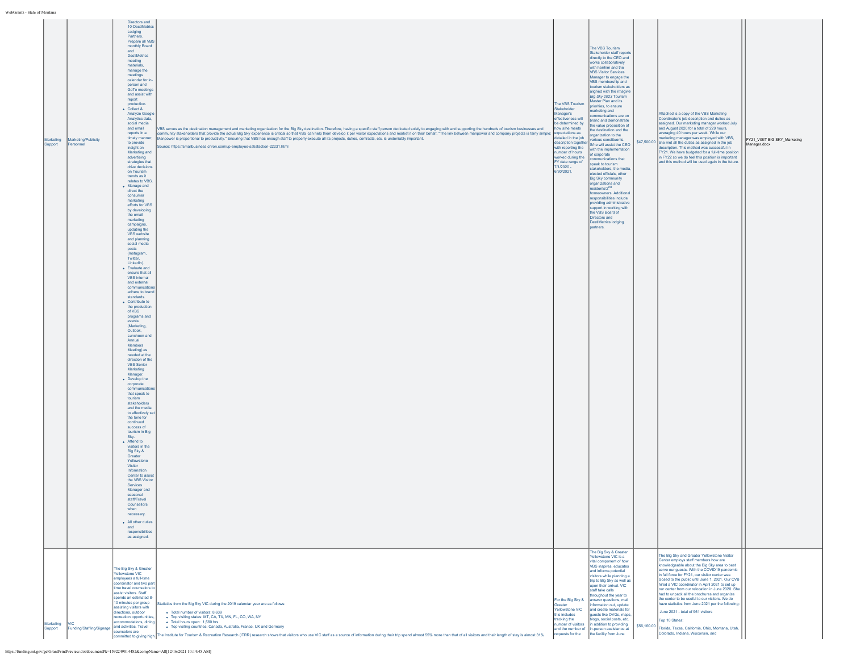| WebGrants - State of Montana |  |
|------------------------------|--|
|                              |  |

| <b>State of Montana</b> |                          |                                                     |                                                                                                                                                                                                                                                                                                                                                                                                                                                                  |                                            |                                                         |                                                                                                         |                              |
|-------------------------|--------------------------|-----------------------------------------------------|------------------------------------------------------------------------------------------------------------------------------------------------------------------------------------------------------------------------------------------------------------------------------------------------------------------------------------------------------------------------------------------------------------------------------------------------------------------|--------------------------------------------|---------------------------------------------------------|---------------------------------------------------------------------------------------------------------|------------------------------|
|                         |                          | Directors and                                       |                                                                                                                                                                                                                                                                                                                                                                                                                                                                  |                                            |                                                         |                                                                                                         |                              |
|                         |                          | 10-DestiMetrics                                     |                                                                                                                                                                                                                                                                                                                                                                                                                                                                  |                                            |                                                         |                                                                                                         |                              |
|                         |                          | Lodging                                             |                                                                                                                                                                                                                                                                                                                                                                                                                                                                  |                                            |                                                         |                                                                                                         |                              |
|                         |                          | Partners.<br>Prepare all VBS                        |                                                                                                                                                                                                                                                                                                                                                                                                                                                                  |                                            |                                                         |                                                                                                         |                              |
|                         |                          | monthly Board                                       |                                                                                                                                                                                                                                                                                                                                                                                                                                                                  |                                            | The VBS Tourism                                         |                                                                                                         |                              |
|                         |                          | and                                                 |                                                                                                                                                                                                                                                                                                                                                                                                                                                                  |                                            | Stakeholder staff reports                               |                                                                                                         |                              |
|                         |                          | DestiMetrics                                        |                                                                                                                                                                                                                                                                                                                                                                                                                                                                  |                                            | directly to the CEO and                                 |                                                                                                         |                              |
|                         |                          | meeting<br>materials,                               |                                                                                                                                                                                                                                                                                                                                                                                                                                                                  |                                            | works collaboratively                                   |                                                                                                         |                              |
|                         |                          | manage the                                          |                                                                                                                                                                                                                                                                                                                                                                                                                                                                  |                                            | vith her/him and the<br><b>VBS Visitor Services</b>     |                                                                                                         |                              |
|                         |                          | meetings                                            |                                                                                                                                                                                                                                                                                                                                                                                                                                                                  |                                            | Manager to engage the                                   |                                                                                                         |                              |
|                         |                          | calendar for in-                                    |                                                                                                                                                                                                                                                                                                                                                                                                                                                                  |                                            | VBS membership and                                      |                                                                                                         |                              |
|                         |                          | person and<br>GoTo meetings                         |                                                                                                                                                                                                                                                                                                                                                                                                                                                                  |                                            | tourism stakeholders as                                 |                                                                                                         |                              |
|                         |                          | and assist with                                     |                                                                                                                                                                                                                                                                                                                                                                                                                                                                  |                                            | aligned with the Imagine<br>Big Sky 2023 Tourism        |                                                                                                         |                              |
|                         |                          | report                                              |                                                                                                                                                                                                                                                                                                                                                                                                                                                                  |                                            | Master Plan and its                                     |                                                                                                         |                              |
|                         |                          | production.<br>• Collect &                          |                                                                                                                                                                                                                                                                                                                                                                                                                                                                  | The VBS Tourism<br>Stakeholder             | priorities, to ensure                                   |                                                                                                         |                              |
|                         |                          | Analyze Google                                      |                                                                                                                                                                                                                                                                                                                                                                                                                                                                  | Manager's                                  | marketing and<br>mmunications are on                    | Attached is a copy of the VBS Marketing                                                                 |                              |
|                         |                          | Analytics data,                                     |                                                                                                                                                                                                                                                                                                                                                                                                                                                                  | effectiveness will                         | orand and demonstrate                                   | Coordinator's job description and duties as                                                             |                              |
|                         |                          | social media<br>and email                           |                                                                                                                                                                                                                                                                                                                                                                                                                                                                  | be determined by<br>how s/he meets         | e value proposition of                                  | assigned. Our marketing manager worked July<br>and August 2020 for a total of 229 hours,                |                              |
|                         |                          | reports in a                                        | VBS serves as the destination management and marketing organization for the Big Sky destination. Therefore, having a specific staff person dedicated solely to engaging with and supporting the hundreds of tourism businesses<br>ommunity stakeholders that provide the actual Big Sky experience is critical so that VBS can help them develop it per visitor expectations and market it on their behalf. "The link between manpower and company projects is f | expectations as                            | the destination and the<br>organization to the          | averaging 40 hours per week. While our                                                                  |                              |
| Marketing               | Marketing/Publicity      | timely manner                                       | Manpower is proportional to productivity." Ensuring that VBS has enough staff to properly execute all its projects, duties, contracts, etc. is undeniably important.                                                                                                                                                                                                                                                                                             | detailed in the job                        | arious constituents.                                    | narketing manager was employed with VBS,                                                                | FY21_VISIT BIG SKY_Marketing |
| Support                 | Personnel                | to provide<br>insight on                            | iource: https://smallbusiness.chron.com/up-employee-satisfaction-22231.html                                                                                                                                                                                                                                                                                                                                                                                      | description together<br>with reporting the | S/he will assist the CEO                                | \$47,500.00 she met all the duties as assigned in the job<br>description. This method was successful in | Manager.docx                 |
|                         |                          | Marketing and                                       |                                                                                                                                                                                                                                                                                                                                                                                                                                                                  | number of hours                            | with the implementation<br>of corporate                 | FY21. We have budgeted for a full-time position                                                         |                              |
|                         |                          | advertising                                         |                                                                                                                                                                                                                                                                                                                                                                                                                                                                  | worked during the                          | mmunications that                                       | in FY22 so we do feel this position is important                                                        |                              |
|                         |                          | strategies that                                     |                                                                                                                                                                                                                                                                                                                                                                                                                                                                  | FY date range of<br>7/1/2020 -             | speak to tourism                                        | and this method will be used again in the future.                                                       |                              |
|                         |                          | drive decisions<br>on Tourism                       |                                                                                                                                                                                                                                                                                                                                                                                                                                                                  | 6/30/2021.                                 | stakeholders, the media,                                |                                                                                                         |                              |
|                         |                          | trends as it                                        |                                                                                                                                                                                                                                                                                                                                                                                                                                                                  |                                            | elected officials, other<br>Big Sky community           |                                                                                                         |                              |
|                         |                          | relates to VBS                                      |                                                                                                                                                                                                                                                                                                                                                                                                                                                                  |                                            | organizations and                                       |                                                                                                         |                              |
|                         |                          | • Manage and<br>direct the                          |                                                                                                                                                                                                                                                                                                                                                                                                                                                                  |                                            | residents/2 <sup>nd</sup>                               |                                                                                                         |                              |
|                         |                          | consumer                                            |                                                                                                                                                                                                                                                                                                                                                                                                                                                                  |                                            | omeowners. Additional<br>esponsibilities include        |                                                                                                         |                              |
|                         |                          | marketing                                           |                                                                                                                                                                                                                                                                                                                                                                                                                                                                  |                                            | roviding administrative                                 |                                                                                                         |                              |
|                         |                          | efforts for VBS<br>by developing                    |                                                                                                                                                                                                                                                                                                                                                                                                                                                                  |                                            | support in working with                                 |                                                                                                         |                              |
|                         |                          | the email                                           |                                                                                                                                                                                                                                                                                                                                                                                                                                                                  |                                            | the VBS Board of                                        |                                                                                                         |                              |
|                         |                          | marketing                                           |                                                                                                                                                                                                                                                                                                                                                                                                                                                                  |                                            | Directors and<br>DestiMetrics lodging                   |                                                                                                         |                              |
|                         |                          | campaigns,<br>updating the                          |                                                                                                                                                                                                                                                                                                                                                                                                                                                                  |                                            | partners.                                               |                                                                                                         |                              |
|                         |                          | VBS website                                         |                                                                                                                                                                                                                                                                                                                                                                                                                                                                  |                                            |                                                         |                                                                                                         |                              |
|                         |                          | and planning                                        |                                                                                                                                                                                                                                                                                                                                                                                                                                                                  |                                            |                                                         |                                                                                                         |                              |
|                         |                          | social media                                        |                                                                                                                                                                                                                                                                                                                                                                                                                                                                  |                                            |                                                         |                                                                                                         |                              |
|                         |                          | posts<br>(Instagram,                                |                                                                                                                                                                                                                                                                                                                                                                                                                                                                  |                                            |                                                         |                                                                                                         |                              |
|                         |                          | Twitter.                                            |                                                                                                                                                                                                                                                                                                                                                                                                                                                                  |                                            |                                                         |                                                                                                         |                              |
|                         |                          | LinkedIn).                                          |                                                                                                                                                                                                                                                                                                                                                                                                                                                                  |                                            |                                                         |                                                                                                         |                              |
|                         |                          | · Evaluate and<br>ensure that all                   |                                                                                                                                                                                                                                                                                                                                                                                                                                                                  |                                            |                                                         |                                                                                                         |                              |
|                         |                          | VBS internal                                        |                                                                                                                                                                                                                                                                                                                                                                                                                                                                  |                                            |                                                         |                                                                                                         |                              |
|                         |                          | and external                                        |                                                                                                                                                                                                                                                                                                                                                                                                                                                                  |                                            |                                                         |                                                                                                         |                              |
|                         |                          | communications                                      |                                                                                                                                                                                                                                                                                                                                                                                                                                                                  |                                            |                                                         |                                                                                                         |                              |
|                         |                          | adhere to brand<br>standards.                       |                                                                                                                                                                                                                                                                                                                                                                                                                                                                  |                                            |                                                         |                                                                                                         |                              |
|                         |                          | $\bullet$ Contribute to                             |                                                                                                                                                                                                                                                                                                                                                                                                                                                                  |                                            |                                                         |                                                                                                         |                              |
|                         |                          | the production                                      |                                                                                                                                                                                                                                                                                                                                                                                                                                                                  |                                            |                                                         |                                                                                                         |                              |
|                         |                          | of VBS                                              |                                                                                                                                                                                                                                                                                                                                                                                                                                                                  |                                            |                                                         |                                                                                                         |                              |
|                         |                          | programs and<br>events                              |                                                                                                                                                                                                                                                                                                                                                                                                                                                                  |                                            |                                                         |                                                                                                         |                              |
|                         |                          | (Marketing,                                         |                                                                                                                                                                                                                                                                                                                                                                                                                                                                  |                                            |                                                         |                                                                                                         |                              |
|                         |                          | Outlook,                                            |                                                                                                                                                                                                                                                                                                                                                                                                                                                                  |                                            |                                                         |                                                                                                         |                              |
|                         |                          | Luncheon and<br>Annual                              |                                                                                                                                                                                                                                                                                                                                                                                                                                                                  |                                            |                                                         |                                                                                                         |                              |
|                         |                          | Members                                             |                                                                                                                                                                                                                                                                                                                                                                                                                                                                  |                                            |                                                         |                                                                                                         |                              |
|                         |                          | Meeting) as                                         |                                                                                                                                                                                                                                                                                                                                                                                                                                                                  |                                            |                                                         |                                                                                                         |                              |
|                         |                          | needed at the<br>direction of the                   |                                                                                                                                                                                                                                                                                                                                                                                                                                                                  |                                            |                                                         |                                                                                                         |                              |
|                         |                          | <b>VBS</b> Senior                                   |                                                                                                                                                                                                                                                                                                                                                                                                                                                                  |                                            |                                                         |                                                                                                         |                              |
|                         |                          | Marketing                                           |                                                                                                                                                                                                                                                                                                                                                                                                                                                                  |                                            |                                                         |                                                                                                         |                              |
|                         |                          | Manager.                                            |                                                                                                                                                                                                                                                                                                                                                                                                                                                                  |                                            |                                                         |                                                                                                         |                              |
|                         |                          | • Develop the<br>corporate                          |                                                                                                                                                                                                                                                                                                                                                                                                                                                                  |                                            |                                                         |                                                                                                         |                              |
|                         |                          | communication                                       |                                                                                                                                                                                                                                                                                                                                                                                                                                                                  |                                            |                                                         |                                                                                                         |                              |
|                         |                          | that speak to                                       |                                                                                                                                                                                                                                                                                                                                                                                                                                                                  |                                            |                                                         |                                                                                                         |                              |
|                         |                          | tourism                                             |                                                                                                                                                                                                                                                                                                                                                                                                                                                                  |                                            |                                                         |                                                                                                         |                              |
|                         |                          | stakeholders<br>and the media                       |                                                                                                                                                                                                                                                                                                                                                                                                                                                                  |                                            |                                                         |                                                                                                         |                              |
|                         |                          | to affectively set                                  |                                                                                                                                                                                                                                                                                                                                                                                                                                                                  |                                            |                                                         |                                                                                                         |                              |
|                         |                          | the tone for                                        |                                                                                                                                                                                                                                                                                                                                                                                                                                                                  |                                            |                                                         |                                                                                                         |                              |
|                         |                          | continued<br>success of                             |                                                                                                                                                                                                                                                                                                                                                                                                                                                                  |                                            |                                                         |                                                                                                         |                              |
|                         |                          | tourism in Big                                      |                                                                                                                                                                                                                                                                                                                                                                                                                                                                  |                                            |                                                         |                                                                                                         |                              |
|                         |                          | Sky.                                                |                                                                                                                                                                                                                                                                                                                                                                                                                                                                  |                                            |                                                         |                                                                                                         |                              |
|                         |                          | $\bullet$ Attend to<br>visitors in the              |                                                                                                                                                                                                                                                                                                                                                                                                                                                                  |                                            |                                                         |                                                                                                         |                              |
|                         |                          | Big Sky &                                           |                                                                                                                                                                                                                                                                                                                                                                                                                                                                  |                                            |                                                         |                                                                                                         |                              |
|                         |                          | Greater                                             |                                                                                                                                                                                                                                                                                                                                                                                                                                                                  |                                            |                                                         |                                                                                                         |                              |
|                         |                          | Yellowstone<br>Visitor                              |                                                                                                                                                                                                                                                                                                                                                                                                                                                                  |                                            |                                                         |                                                                                                         |                              |
|                         |                          | Information                                         |                                                                                                                                                                                                                                                                                                                                                                                                                                                                  |                                            |                                                         |                                                                                                         |                              |
|                         |                          | Center to assis                                     |                                                                                                                                                                                                                                                                                                                                                                                                                                                                  |                                            |                                                         |                                                                                                         |                              |
|                         |                          | the VBS Visitor<br>Services                         |                                                                                                                                                                                                                                                                                                                                                                                                                                                                  |                                            |                                                         |                                                                                                         |                              |
|                         |                          | Manager and                                         |                                                                                                                                                                                                                                                                                                                                                                                                                                                                  |                                            |                                                         |                                                                                                         |                              |
|                         |                          | seasonal                                            |                                                                                                                                                                                                                                                                                                                                                                                                                                                                  |                                            |                                                         |                                                                                                         |                              |
|                         |                          | staff/Travel<br>Counsellors                         |                                                                                                                                                                                                                                                                                                                                                                                                                                                                  |                                            |                                                         |                                                                                                         |                              |
|                         |                          | when                                                |                                                                                                                                                                                                                                                                                                                                                                                                                                                                  |                                            |                                                         |                                                                                                         |                              |
|                         |                          | necessary.                                          |                                                                                                                                                                                                                                                                                                                                                                                                                                                                  |                                            |                                                         |                                                                                                         |                              |
|                         |                          | • All other duties                                  |                                                                                                                                                                                                                                                                                                                                                                                                                                                                  |                                            |                                                         |                                                                                                         |                              |
|                         |                          | and                                                 |                                                                                                                                                                                                                                                                                                                                                                                                                                                                  |                                            |                                                         |                                                                                                         |                              |
|                         |                          | responsibilities                                    |                                                                                                                                                                                                                                                                                                                                                                                                                                                                  |                                            |                                                         |                                                                                                         |                              |
|                         |                          | as assigned.                                        |                                                                                                                                                                                                                                                                                                                                                                                                                                                                  |                                            |                                                         |                                                                                                         |                              |
|                         |                          |                                                     |                                                                                                                                                                                                                                                                                                                                                                                                                                                                  |                                            |                                                         |                                                                                                         |                              |
|                         |                          |                                                     |                                                                                                                                                                                                                                                                                                                                                                                                                                                                  |                                            | The Big Sky & Greater<br>Yellowstone VIC is a           | The Big Sky and Greater Yellowstone Visitor                                                             |                              |
|                         |                          |                                                     |                                                                                                                                                                                                                                                                                                                                                                                                                                                                  |                                            | vital component of how                                  | Center employs staff members how are                                                                    |                              |
|                         |                          | The Big Sky & Greater                               |                                                                                                                                                                                                                                                                                                                                                                                                                                                                  |                                            | VBS inspires, educates                                  | knowledgeable about the Big Sky area to best                                                            |                              |
|                         |                          | <b>Yellowstone VIC</b>                              |                                                                                                                                                                                                                                                                                                                                                                                                                                                                  |                                            | and informs potential                                   | serve our guests. With the COVID19 pandemic<br>in full force for FY21, our visitor center was           |                              |
|                         |                          | employees a full-time                               |                                                                                                                                                                                                                                                                                                                                                                                                                                                                  |                                            | visitors while planning a<br>trip to Big Sky as well as | closed to the public until June 1, 2021. Our CVB                                                        |                              |
|                         |                          | coordinator and two part                            |                                                                                                                                                                                                                                                                                                                                                                                                                                                                  |                                            | upon their arrival. VIC                                 | hired a VIC coordinator in April 2021 to set up                                                         |                              |
|                         |                          | time travel counselors to<br>assist visitors, Staff |                                                                                                                                                                                                                                                                                                                                                                                                                                                                  |                                            | staff take calls                                        | our center from our relocation in June 2020. She<br>had to unpack all the brochures and organize        |                              |
|                         |                          | spends an estimated 8-                              |                                                                                                                                                                                                                                                                                                                                                                                                                                                                  | For the Big Sky &                          | throughout the year to<br>answer questions, mail        | the center to be useful to our visitors. We do                                                          |                              |
|                         |                          | 10 minutes per group                                | Itatistics from the Big Sky VIC during the 2019 calendar year are as follows:                                                                                                                                                                                                                                                                                                                                                                                    | Greater                                    | formation out, update                                   | have statistics from June 2021 per the following:                                                       |                              |
|                         |                          | assisting visitors with<br>directions, outdoor      | · Total number of visitors: 8.639                                                                                                                                                                                                                                                                                                                                                                                                                                | <b>Yellowstone VIC</b>                     | and create materials for                                | June 2021 - total of 961 visitors                                                                       |                              |
|                         |                          | ecreation opportunities                             | • Top visiting states: MT, CA, TX, MN, FL, CO, WA, NY                                                                                                                                                                                                                                                                                                                                                                                                            | this includes                              | guests like OVGs, maps,                                 |                                                                                                         |                              |
| Marketing               | VIC                      | ccommodations, dining                               | · Total hours open: 1,560 hrs.                                                                                                                                                                                                                                                                                                                                                                                                                                   | tracking the<br>number of visitors         | blogs, social posts, etc.<br>in addition to providing   | Top 10 States:                                                                                          |                              |
| Support                 | Funding/Staffing/Signage | and activities. Travel<br>counselors are            | . Top visiting countries: Canada, Australia, France, UK and Germany                                                                                                                                                                                                                                                                                                                                                                                              |                                            | and the number of in-person assistance at               | \$56,160.00 Florida, Texas, California, Ohio, Montana, Utah,                                            |                              |
|                         |                          |                                                     |                                                                                                                                                                                                                                                                                                                                                                                                                                                                  |                                            | the facility from June                                  | Colorado, Indiana, Wisconsin, and                                                                       |                              |
|                         |                          |                                                     |                                                                                                                                                                                                                                                                                                                                                                                                                                                                  | requests for the                           |                                                         |                                                                                                         |                              |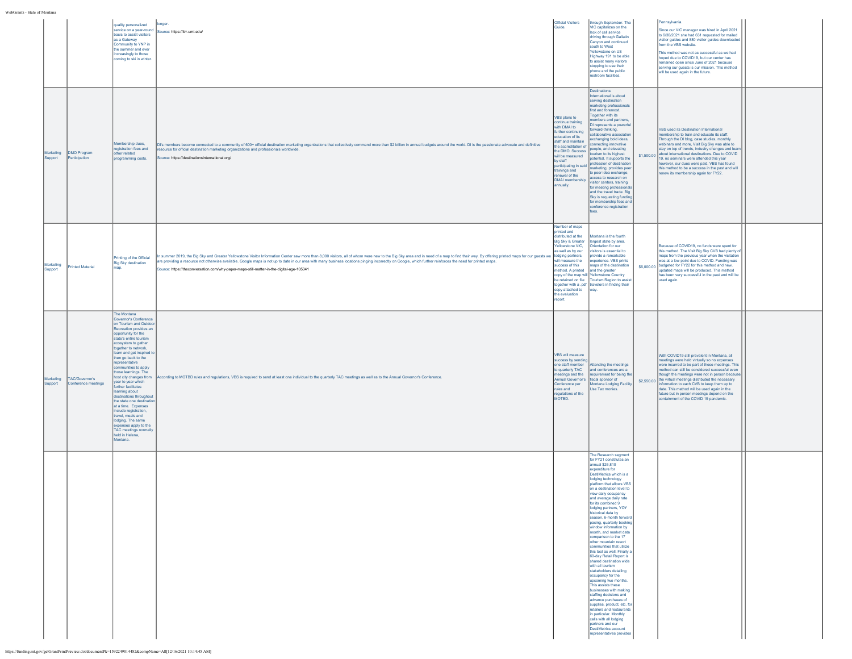|                      |                                       | quality personalized<br>service on a year-round<br>basis to assist visitors<br>as a Gateway<br>Community to YNP in<br>the summer and ever<br>increasingly to those<br>coming to ski in winter.                                                                                                                                                                                                                                                                                                                                                                                                                                           | longer.<br>Source: https://itrr.umt.edu/                                                                                                                                                                                                                                                                                                                                                                                                                                                                                                 | Official Visitors<br>Guide.                                                                                                                                                                                                                                                             | through September. The<br>VIC capitalizes on the<br>lack of cell service<br>driving through Gallatin<br>Canyon and continued<br>south to West<br>Yellowstone on US<br>Highway 191 to be able<br>to assist many visitors<br>stopping to use their<br>phone and the public<br>restroom facilities.                                                                                                                                                                                                                                                                                                                                                                                                                                                                                                                                                                                                                                                                                       |            | Pennsylvania.<br>Since our VIC manager was hired in April 2021<br>to 6/30/2021 she had 631 requested for mailed<br>visitor guides and 880 visitor guides downloaded<br>from the VBS website.<br>This method was not as successful as we had<br>hoped due to COVID19, but our center has<br>remained open since June of 2021 because<br>serving our guests is our mission. This method<br>will be used again in the future.                                                                           |  |
|----------------------|---------------------------------------|------------------------------------------------------------------------------------------------------------------------------------------------------------------------------------------------------------------------------------------------------------------------------------------------------------------------------------------------------------------------------------------------------------------------------------------------------------------------------------------------------------------------------------------------------------------------------------------------------------------------------------------|------------------------------------------------------------------------------------------------------------------------------------------------------------------------------------------------------------------------------------------------------------------------------------------------------------------------------------------------------------------------------------------------------------------------------------------------------------------------------------------------------------------------------------------|-----------------------------------------------------------------------------------------------------------------------------------------------------------------------------------------------------------------------------------------------------------------------------------------|----------------------------------------------------------------------------------------------------------------------------------------------------------------------------------------------------------------------------------------------------------------------------------------------------------------------------------------------------------------------------------------------------------------------------------------------------------------------------------------------------------------------------------------------------------------------------------------------------------------------------------------------------------------------------------------------------------------------------------------------------------------------------------------------------------------------------------------------------------------------------------------------------------------------------------------------------------------------------------------|------------|------------------------------------------------------------------------------------------------------------------------------------------------------------------------------------------------------------------------------------------------------------------------------------------------------------------------------------------------------------------------------------------------------------------------------------------------------------------------------------------------------|--|
| Marketing<br>Support | <b>DMO Program</b><br>Participation   | Membership dues,<br>registration fees and<br>other related<br>programming costs.                                                                                                                                                                                                                                                                                                                                                                                                                                                                                                                                                         | DI's members become connected to a community of 600+ official destination marketing organizations that collectively command more than \$2 billion in annual budgets around the world. DI is the passionate advocate and definit<br>resource for official destination marketing organizations and professionals worldwide.<br>Source: https://destinationsinternational.org/                                                                                                                                                              | VBS plans to<br>ontinue training<br>with DMAI to<br>further continuing<br>education of its<br>staff and maintain<br>he accreditation of<br>the DMO, Success<br>will be measured<br>by staff<br>participating in said<br>trainings and<br>renewal of the<br>DMAI membership<br>annually. | Destinations<br>International is about<br>serving destination<br>marketing professionals<br>first and foremost.<br>Together with its<br>mbers and partners,<br>DI represents a powerfu<br>orward-thinking,<br>ollaborative associatio<br>exchanging bold ideas,<br>connecting innovative<br>people, and elevating<br>tourism to its highest<br>potential. It supports the<br>profession of destination<br>marketing, provides peer<br>to peer idea exchange,<br>access to research on<br>visitor centers, training<br>for meeting professional<br>and the travel trade. Big<br>Sky is requesting funding<br>for membership fees and<br>conference registration                                                                                                                                                                                                                                                                                                                         | \$1,500.00 | VBS used its Destination International<br>nembership to train and educate its staff.<br>Through the DI blog, case studies, monthly<br>webinars and more, Visit Big Sky was able to<br>stay on top of trends, industry changes and lear<br>about international destinations. Due to COVID<br>19, no seminars were attended this year<br>however, our dues were paid. VBS has found<br>this method to be a success in the past and will<br>renew its membership again for FY22.                        |  |
| Marketing<br>Support | <b>rinted Material</b>                | Inting of the Official<br><b>Big Sky destination</b>                                                                                                                                                                                                                                                                                                                                                                                                                                                                                                                                                                                     | n summer 2019, the Big Sky and Greater Yellowstone Visitor Information Center saw more than 8,000 visitors, all of whom were new to the Big Sky area and in need of a map to find their way. By offering printed maps for our<br>re providing a resource not otherwise available. Google maps is not up to date in our area with many business locations pinging incorrectly on Google, which further reinforces the need for printed maps.<br>Source: https://theconversation.com/why-paper-maps-still-matter-in-the-digital-age-105341 | Number of maps<br>printed and<br>distributed at the<br>Big Sky & Greater<br>ellowstone VIC,<br>as well as by our<br>will measure the<br>success of this<br>nethod. A printed<br>copy attached to<br>the evaluation<br>report.                                                           | Montana is the fourth<br>largest state by area.<br>Orientation for our<br>visitors is essential to<br>provide a remarkable<br>experience. VBS prints<br>naps of the destination<br>and the greater<br>copy of the map will Yellowstone Country<br>be retained on file   Tourism Region to assis<br>together with a .pdf travelers in finding their<br>way.                                                                                                                                                                                                                                                                                                                                                                                                                                                                                                                                                                                                                             |            | Because of COVID19, no funds were spent for<br>this method. The Visit Big Sky CVB had plenty of<br>maps from the previous year when the visitation<br>was at a low point due to COVID. Funding was<br>\$6,000.00 budgeted for FY22 for this method and new,<br>updated maps will be produced. This method<br>has been very successful in the past and will be<br>used again.                                                                                                                         |  |
| Marketing<br>Support | TAC/Governor's<br>Conference meetings | The Montana<br>Governor's Conference<br>on Tourism and Outdoo<br>Recreation provides an<br>opportunity for the<br>state's entire tourism<br>ecosystem to gather<br>together to network.<br>learn and get inspired t<br>then go back to the<br>representative<br>communities to apply<br>those learnings. The<br>host city changes from<br>year to year which<br>further facilitates<br>learning about<br>destinations throughout<br>the state one destinatio<br>lat a time. Expenses<br>include registration,<br>travel, meals and<br>lodging. The same<br>expenses apply to the<br>TAC meetings normally<br>held in Helena,<br>Montana. | kccording to MOTBD rules and regulations, VBS is required to send at least one individual to the quarterly TAC meetings as well as to the Annual Governor's Conference.                                                                                                                                                                                                                                                                                                                                                                  | VBS will measure<br>success by sending<br>one staff member<br>to quarterly TAC<br>neetings and the<br>Annual Governor's<br>Conference per<br>rules and<br>regulations of the<br>MOTBD.                                                                                                  | Attending the meetings<br>and conferences are a<br>equirement for being th<br>fiscal sponsor of<br>Montana Lodging Facilit<br>Use Tax monies.                                                                                                                                                                                                                                                                                                                                                                                                                                                                                                                                                                                                                                                                                                                                                                                                                                          |            | With COVID19 still prevalent in Montana, all<br>meetings were held virtually so no expenses<br>were incurred to be part of these meetings. This<br>method can still be considered successful even<br>though the meetings were not in person becaus<br>\$2,550.00 the virtual meetings distributed the necessary<br>information to each CVB to keep them up to<br>date. This method will be used again in the<br>future but in person meetings depend on the<br>containment of the COVID 19 pandemic. |  |
|                      |                                       |                                                                                                                                                                                                                                                                                                                                                                                                                                                                                                                                                                                                                                          |                                                                                                                                                                                                                                                                                                                                                                                                                                                                                                                                          |                                                                                                                                                                                                                                                                                         | The Research segment<br>for FY21 constitutes an<br>annual \$26,810<br>expenditure for<br>DestiMetrics which is a<br>lodging technology<br>platform that allows VBS<br>on a destination level to<br>view daily occupancy<br>and average daily rate<br>for its combined 9<br>lodging partners, YOY<br>historical data by<br>season, 6-month forward<br>pacing, quarterly booking<br>window information by<br>month, and market data<br>comparison to the 17<br>other mountain resort<br>communities that utilize<br>this tool as well. Finally<br>60-day Retail Report is<br>shared destination wide<br>with all tourism<br>stakeholders detailing<br>occupancy for the<br>upcoming two months.<br>This assists these<br>businesses with making<br>staffing decisions and<br>advance purchases of<br>supplies, product, etc. for<br>retailers and restaurants<br>in particular. Monthly<br>calls with all lodging<br>partners and our<br>DestiMetrics account<br>epresentatives provides |            |                                                                                                                                                                                                                                                                                                                                                                                                                                                                                                      |  |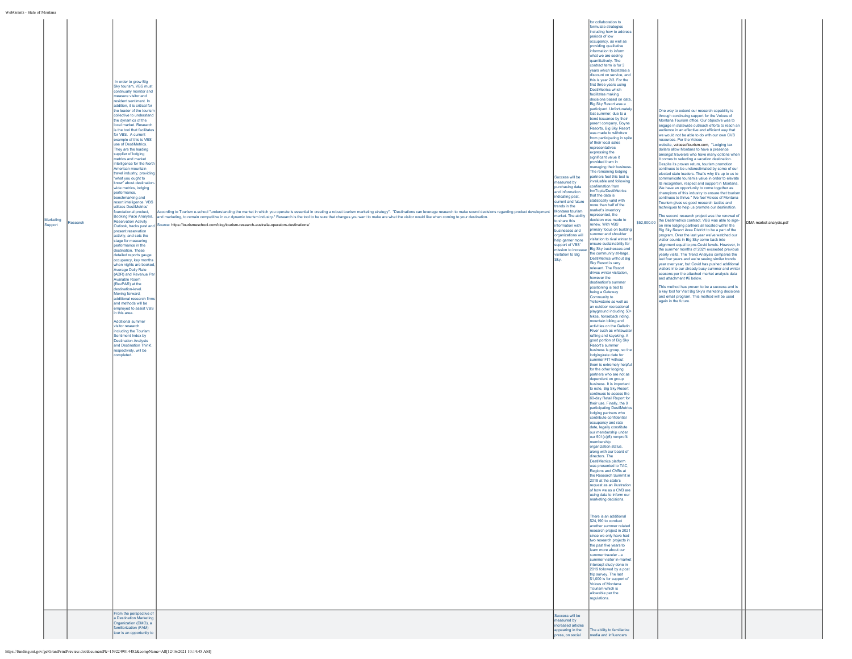| WebGrants - State of Montana |                             |         |                                                                                                                                                                                                                                                                                                                                                                                                                                                                                                                                                                                                                                                                                                                                                                                                                                                                                                                                                                                                                                                                                                                                                                                                                                                                                                                                                                                                                                                                                                                                                  |                                                                                                                                                                                                                                                                                                                                                                                                                                                                                                                                       |                                                                                                                                                                                                                                                                                                                                                                                                        |                                                                                                                                                                                                                                                                                                                                                                                                                                                                                                                                                                                                                                                                                                                                                                                                                                                                                                                                                                                                                                                                                                                                                                                                                                                                                                                                                                                                                                                                                                                                                                                                                                                                                                                                                                                                                                                                                                                                                                                                                                                                                                                                                                                                                                                                                                                                                                                                                                                                                                                                                                                                                                                                                                                                                                                                                                                                                                                                                                                                                                                    |                                                                                                                                                                                                                                                                                                                                                                                                                                                                                                                                                                                                                                                                                                                                                                                                                                                                                                                                                                                                                                                                                                                                                                                                                                                                                                                                                                                                                                                                                                                                                                                                                                                                                                                                                                                                                                                                                                                                               |                         |
|------------------------------|-----------------------------|---------|--------------------------------------------------------------------------------------------------------------------------------------------------------------------------------------------------------------------------------------------------------------------------------------------------------------------------------------------------------------------------------------------------------------------------------------------------------------------------------------------------------------------------------------------------------------------------------------------------------------------------------------------------------------------------------------------------------------------------------------------------------------------------------------------------------------------------------------------------------------------------------------------------------------------------------------------------------------------------------------------------------------------------------------------------------------------------------------------------------------------------------------------------------------------------------------------------------------------------------------------------------------------------------------------------------------------------------------------------------------------------------------------------------------------------------------------------------------------------------------------------------------------------------------------------|---------------------------------------------------------------------------------------------------------------------------------------------------------------------------------------------------------------------------------------------------------------------------------------------------------------------------------------------------------------------------------------------------------------------------------------------------------------------------------------------------------------------------------------|--------------------------------------------------------------------------------------------------------------------------------------------------------------------------------------------------------------------------------------------------------------------------------------------------------------------------------------------------------------------------------------------------------|----------------------------------------------------------------------------------------------------------------------------------------------------------------------------------------------------------------------------------------------------------------------------------------------------------------------------------------------------------------------------------------------------------------------------------------------------------------------------------------------------------------------------------------------------------------------------------------------------------------------------------------------------------------------------------------------------------------------------------------------------------------------------------------------------------------------------------------------------------------------------------------------------------------------------------------------------------------------------------------------------------------------------------------------------------------------------------------------------------------------------------------------------------------------------------------------------------------------------------------------------------------------------------------------------------------------------------------------------------------------------------------------------------------------------------------------------------------------------------------------------------------------------------------------------------------------------------------------------------------------------------------------------------------------------------------------------------------------------------------------------------------------------------------------------------------------------------------------------------------------------------------------------------------------------------------------------------------------------------------------------------------------------------------------------------------------------------------------------------------------------------------------------------------------------------------------------------------------------------------------------------------------------------------------------------------------------------------------------------------------------------------------------------------------------------------------------------------------------------------------------------------------------------------------------------------------------------------------------------------------------------------------------------------------------------------------------------------------------------------------------------------------------------------------------------------------------------------------------------------------------------------------------------------------------------------------------------------------------------------------------------------------------------------------------|-----------------------------------------------------------------------------------------------------------------------------------------------------------------------------------------------------------------------------------------------------------------------------------------------------------------------------------------------------------------------------------------------------------------------------------------------------------------------------------------------------------------------------------------------------------------------------------------------------------------------------------------------------------------------------------------------------------------------------------------------------------------------------------------------------------------------------------------------------------------------------------------------------------------------------------------------------------------------------------------------------------------------------------------------------------------------------------------------------------------------------------------------------------------------------------------------------------------------------------------------------------------------------------------------------------------------------------------------------------------------------------------------------------------------------------------------------------------------------------------------------------------------------------------------------------------------------------------------------------------------------------------------------------------------------------------------------------------------------------------------------------------------------------------------------------------------------------------------------------------------------------------------------------------------------------------------|-------------------------|
|                              | <b>Aarketing</b><br>Support | esearch | In order to grow Big<br>Sky tourism, VBS must<br>continually monitor and<br>measure visitor and<br>esident sentiment. In<br>addition, it is critical for<br>the leader of the tourism<br>collective to understand<br>the dynamics of the<br>local market. Research<br>is the tool that facilitates<br>for VBS. A current<br>example of this is VBS'<br>use of DestiMetrics.<br>They are the leading<br>upplier of lodging<br>netrics and market<br>intelligence for the North<br>American mountain<br>travel industry, providin<br>what you ought to<br>know" about destinatio<br>wide metrics, lodging<br>performance,<br>benchmarking and<br>resort intelligence. VBS<br>utilizes DestiMetrics'<br>foundational product,<br>Booking Pace Analysis,<br><b>Reservation Activity</b><br>Outlook, tracks past and<br>present reservation<br>activity, and sets the<br>stage for measuring<br>performance in the<br>destination. These<br>detailed reports gauge<br>occupancy, key months<br>when nights are booked<br>Average Daily Rate<br>(ADR) and Revenue Pe<br>Available Room<br>(RevPAR) at the<br>destination-level<br>Moving forward,<br>additional research firms<br>and methods will be<br>employed to assist VBS<br>n this area.<br><b>Additional summer</b><br>visitor research<br>including the Tourism<br>Sentiment Index by<br><b>Destination Analysts</b><br>and Destination Think!.<br>espectively, will be<br>completed.<br>From the perspective of<br>a Destination Marketing<br>Organization (DMO), a<br>familiarization (FAM) | ccording to Tourism e-school "understanding the market in which you operate is essential in creating a robust tourism marketing strategy". "Destinations can leverage research to make sound decisions regarding product devel<br>and marketing, to remain competitive in our dynamic tourism industry." Research is the tool to be sure that changes you want to make are what the visitor would like when coming to your destination.<br>lource: https://tourismeschool.com/blog/tourism-research-australia-operators-destinations/ | Success will be<br>neasured by<br>purchasing data<br>and information<br>indicating past,<br>current and future<br>rends in the<br>Montana tourism<br>market. The ability<br>to share this<br>information with<br>ousinesses and<br>organizations will<br>help garner more<br>support of VBS'<br>ission to increase<br>visitation to Big<br>Sky.<br>Success will be<br>neasured by<br>ncreased articles | for collaboration to<br>ormulate strategies<br>including how to address<br>periods of low<br>.<br>occupancy, as well as<br>providing qualitative<br>information to inform<br>what we are seeing<br>quantitatively. The<br>contract term is for 3<br>years which facilitates a<br>iscount on service, and<br>this is year 2/3. For the<br>first three years using<br>DestiMetrics which<br>facilitates making<br>lecisions based on data<br>Big Sky Resort was a<br>participant. Unfortunately<br>ast summer, due to a<br>bond issuance by their<br>parent company, Boyne<br>Resorts, Big Sky Resort<br>was made to withdraw<br>from participating in spite<br>of their local sales<br>representatives<br>expressing the<br>significant value it<br>ovided them in<br>nanaging their business<br>The remaining lodging<br>partners feel this tool is<br>valuable and following<br>confirmation from<br>nnTopia/DestiMetrics<br>that the data is<br>tatistically valid with<br>nore than half of the<br>narket's inventory<br>presented, the<br>ecision was made to<br>enew. With VBS'<br>imary focus on buildin<br>immer and shoulder<br>isitation to rival winter t<br>nsure sustainability for<br>Big Sky businesses and<br>the community at-large,<br>DestiMetrics without Big<br>Sky Resort is very<br>elevant. The Resort<br>drives winter visitation,<br>however the<br>destination's summer<br>positioning is tied to<br>being a Gateway<br>ommunity to<br>Yellowstone as well as<br>an outdoor recreational<br>playground including 50+<br>hikes, horseback riding.<br>mountain biking and<br>activities on the Gallatin<br>River such as whitewate<br>rafting and kavaking. A<br>good portion of Big Sky<br>Resort's summer<br>business is group, so the<br>lodging/rate date for<br>summer FIT without<br>them is extremely helpful<br>for the other lodging<br>partners who are not as<br>dependent on group<br>business. It is important<br>to note, Big Sky Resort<br>continues to access the<br>60-day Retail Report for<br>their use. Finally, the 9<br>participating DestiMetric<br>lodging partners who<br>contribute confidential<br>occupancy and rate<br>date, legally constitute<br>our membership under<br>our 501(c)(6) nonprofit<br>nembership<br>organization status,<br>along with our board of<br>directors. The<br><b>DestiMetrics platform</b><br>was presented to TAC,<br>egions and CVBs at<br>the Research Summit in<br>2018 at the state's<br>request as an illustration<br>f how we as a CVB are<br>using data to inform our<br>marketing decisions.<br>There is an additional<br>\$24,190 to conduct<br>lanother summer related<br>research project in 2021<br>since we only have had<br>two research projects in<br>the past five years to<br>learn more about our<br>summer traveler - a<br>summer visitor in-market<br>intercept study done in<br>2019 followed by a post<br>trip survey. The last<br>\$1,000 is for support of<br>Voices of Montana<br>Tourism which is<br>allowable per the<br>regulations. | One way to extend our research capability is<br>through continuing support for the Voices of<br>Montana Tourism office. Our objective was to<br>engage in statewide outreach efforts to reach ar<br>audience in an effective and efficient way that<br>we would not be able to do with our own CVB<br>resources. Per the Voices<br>website, voicesoftourism.com, "Lodging tax<br>dollars allow Montana to have a presence<br>amongst travelers who have many options when<br>it comes to selecting a vacation destination.<br>Despite its proven return, tourism promotion<br>continues to be underestimated by some of our<br>elected state leaders. That's why it's up to us to<br>communicate tourism's value in order to elevate<br>its recognition, respect and support in Montana.<br>We have an opportunity to come together as<br>champions of this industry to ensure that tourism<br>continues to thrive." We feel Voices of Montana<br>Tourism gives us good research tactics and<br>lechniques to help us promote our destination.<br>The second research project was the renewal of<br>\$52,000.00 the Destimetrics contract. VBS was able to sign-<br>on nine lodging partners all located within the<br>Big Sky Resort Area District to be a part of the<br>program. Over the last year we've watched our<br>visitor counts in Big Sky come back into<br>alignment equal to pre-Covid levels. However, i<br>the summer months of 2021 exceeded previous<br>yearly visits. The Trend Analysis compares the<br>last four years and we're seeing similar trends<br>year over year, but Covid has pushed additional<br>visitors into our already busy summer and winter<br>seasons per the attached market analysis data<br>and attachment #6 below.<br>This method has proven to be a success and is<br>a key tool for Visit Big Sky's marketing decisions<br>and email program. This method will be used<br>again in the future. | DMA market analysis.pdf |
|                              |                             |         | tour is an opportunity to                                                                                                                                                                                                                                                                                                                                                                                                                                                                                                                                                                                                                                                                                                                                                                                                                                                                                                                                                                                                                                                                                                                                                                                                                                                                                                                                                                                                                                                                                                                        |                                                                                                                                                                                                                                                                                                                                                                                                                                                                                                                                       | appearing in the<br>ress, on social                                                                                                                                                                                                                                                                                                                                                                    | The ability to familiarize<br>nedia and influencers                                                                                                                                                                                                                                                                                                                                                                                                                                                                                                                                                                                                                                                                                                                                                                                                                                                                                                                                                                                                                                                                                                                                                                                                                                                                                                                                                                                                                                                                                                                                                                                                                                                                                                                                                                                                                                                                                                                                                                                                                                                                                                                                                                                                                                                                                                                                                                                                                                                                                                                                                                                                                                                                                                                                                                                                                                                                                                                                                                                                |                                                                                                                                                                                                                                                                                                                                                                                                                                                                                                                                                                                                                                                                                                                                                                                                                                                                                                                                                                                                                                                                                                                                                                                                                                                                                                                                                                                                                                                                                                                                                                                                                                                                                                                                                                                                                                                                                                                                               |                         |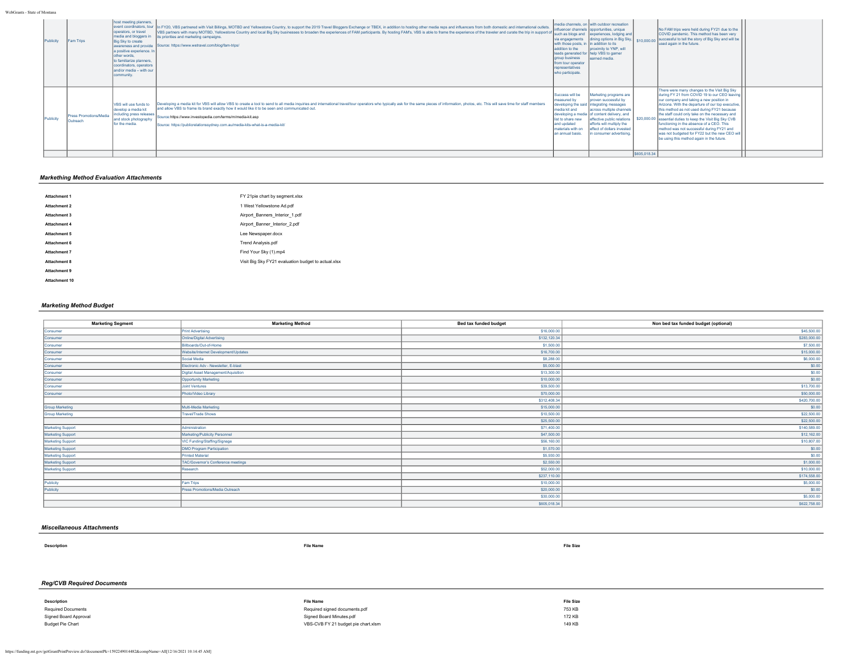| Publicity | Fam Trips                          | host meeting planners,<br>loperators, or travel<br>media and bloggers in<br>Big Sky to create<br>awareness and provide<br>a positive experience. In<br>other words.<br>to familiarize planners,<br>coordinators, operators<br>land/or media - with our<br>community. | event coordinators, tour  In FY20, VBS partnered with Visit Billings, MOTBD and Yellowstone Country, to support the 2019 Travel Bloggers Exchange or TBEX, in addition to hosting other media reps and influencers from both d<br>VBS partners with many MOTBD, Yellowstone Country and local Big Sky businesses to broaden the experiences of FAM participants. By hosting FAM's, VBS is able to frame the experience of the traveler and curate the trip in su<br>its priorities and marketing campaigns.<br>Source: https://www.wetravel.com/blog/fam-trips/ | via engagements<br>with those posts, in<br>addition to the<br><b>laroup business</b><br>from tour operator<br>representatives<br>who participate. | Imedia channels, on I with outdoor recreation<br>linfluencer channels lopportunities, unique<br>experiences, lodging and<br>dining options in Big Sky, \$10,000.00<br>In addition to its<br>proximity to YNP, will<br>leads generated for help VBS to garner<br>learned media.              |              | No FAM trips were held during FY21 due to the<br>COVID pandemic. This method has been very<br>successful to tell the story of Big Sky and will be<br>used again in the future.                                                                                                                                                                                                                                                                                                                                                                         |  |
|-----------|------------------------------------|----------------------------------------------------------------------------------------------------------------------------------------------------------------------------------------------------------------------------------------------------------------------|-----------------------------------------------------------------------------------------------------------------------------------------------------------------------------------------------------------------------------------------------------------------------------------------------------------------------------------------------------------------------------------------------------------------------------------------------------------------------------------------------------------------------------------------------------------------|---------------------------------------------------------------------------------------------------------------------------------------------------|---------------------------------------------------------------------------------------------------------------------------------------------------------------------------------------------------------------------------------------------------------------------------------------------|--------------|--------------------------------------------------------------------------------------------------------------------------------------------------------------------------------------------------------------------------------------------------------------------------------------------------------------------------------------------------------------------------------------------------------------------------------------------------------------------------------------------------------------------------------------------------------|--|
| Publicity | Press Promotions/Media<br>Outreach | VBS will use funds to<br>develop a media kit<br><b>lincluding press releases</b><br>and stock photography<br>for the media.                                                                                                                                          | Developing a media kit for VBS will allow VBS to create a tool to send to all media inquiries and international travel/tour operators who typically ask for the same pieces of information, photos, etc. This will save time f<br>and allow VBS to frame its brand exactly how it would like it to be seen and communicated out.<br>Source:https://www.investopedia.com/terms/m/media-kit.asp<br>Source: https://publicrelationssydney.com.au/media-kits-what-is-a-media-kit/                                                                                   | Success will be<br>Imeasured by<br>media kit and<br>list to share new<br>and updated<br>materials with on<br>an annual basis.                     | Marketing programs are<br>proven successful by<br>developing the said lintegrating messages<br>across multiple channels<br>developing a media of content delivery, and<br>effective public relations<br>efforts will multiply the<br>effect of dollars invested<br>in consumer advertising. | \$605,018.34 | There were many changes to the Visit Big Sky<br>during FY 21 from COVID 19 to our CEO leaving<br>our company and taking a new position in<br>Arizona. With the departure of our top executive.<br>this method as not used during FY21 because<br>the staff could only take on the necessary and<br>\$20,000.00 essential duties to keep the Visit Big Sky CVB<br>functioning in the absence of a CEO. This<br>method was not successful during FY21 and<br>was not budgeted for FY22 but the new CEO will<br>be using this method again in the future. |  |

# *Markething Method Evaluation Attachments*

| Attachment 1  | FY 21pie chart by segment.xlsx                      |
|---------------|-----------------------------------------------------|
| Attachment 2  | 1 West Yellowstone Ad.pdf                           |
| Attachment 3  | Airport Banners Interior 1.pdf                      |
| Attachment 4  | Airport Banner Interior 2.pdf                       |
| Attachment 5  | Lee Newspaper.docx                                  |
| Attachment 6  | Trend Analysis.pdf                                  |
| Attachment 7  | Find Your Sky (1).mp4                               |
| Attachment 8  | Visit Big Sky FY21 evaluation budget to actual xlsx |
| Attachment 9  |                                                     |
| Attachment 10 |                                                     |

## *Marketing Method Budget*

| <b>Marketing Segment</b> | <b>Marketing Method</b>              | <b>Bed tax funded budget</b> | Non bed tax funded budget (optional) |
|--------------------------|--------------------------------------|------------------------------|--------------------------------------|
| Consumer                 | <b>Print Advertising</b>             | \$16,000.00                  | \$45,500.00                          |
| Consumer                 | Online/Digital Advertising           | \$132,120.34                 | \$283,000.00                         |
| Consumer                 | Billboards/Out-of-Home               | \$1,500.00                   | \$7,500.00                           |
| Consumer                 | Website/Internet Development/Updates | \$16,700.00                  | \$15,000.00                          |
| Consumer                 | Social Media                         | \$8,288.00                   | \$6,000.00                           |
| Consumer                 | Electronic Adv - Newsletter, E-blast | \$5,000.00                   | \$0.00                               |
| Consumer                 | Digital Asset Management/Aquisition  | \$13,300.00                  | \$0.00                               |
| Consumer                 | Opportunity Marketing                | \$10,000.00                  | \$0.00                               |
| Consumer                 | Joint Ventures                       | \$39,500.00                  | \$13,700.00                          |
| Consumer                 | Photo/Video Library                  | \$70,000.00                  | \$50,000.00                          |
|                          |                                      | \$312,408.34                 | \$420,700.00                         |
| <b>Group Marketing</b>   | Multi-Media Marketing                | \$15,000.00                  | \$0.00                               |
| <b>Group Marketing</b>   | <b>Travel/Trade Shows</b>            | \$10,500.00                  | \$22,500.00                          |
|                          |                                      | \$25,500.00                  | \$22,500.00                          |
| Marketing Support        | Administration                       | \$71,400.00                  | \$140,589.00                         |
| <b>Marketing Support</b> | Marketing/Publicity Personnel        | \$47,500.00                  | \$12,162.00                          |
| <b>Marketing Support</b> | VIC Funding/Staffing/Signage         | \$56,160.00                  | \$10,807.00                          |
| <b>Marketing Support</b> | DMO Program Participation            | \$1,570.00                   | \$0.00                               |
| <b>Marketing Support</b> | Printed Material                     | \$5,930.00                   | \$0.00                               |
| <b>Marketing Support</b> | TAC/Governor's Conference meetings   | \$2,550.00                   | \$1,000.00                           |
| <b>Marketing Support</b> | Research                             | \$52,000.00                  | \$10,000.00                          |
|                          |                                      | \$237,110.00                 | \$174,558.00                         |
| Publicity                | Fam Trips                            | \$10,000.00                  | \$5,000.00                           |
| Publicity                | Press Promotions/Media Outreach      | \$20,000.00                  | \$0.00                               |
|                          |                                      | \$30,000.00                  | \$5,000.00                           |
|                          |                                      | \$605,018.34                 | \$622,758.00                         |

### *Miscellaneous Attachments*

**Description File Name File Size**

# *Reg/CVB Required Documents*

| Description             | File Name                           | <b>File Size</b> |
|-------------------------|-------------------------------------|------------------|
| Required Documents      | Required signed documents.pdf       | 753 KB           |
| Signed Board Approval   | Signed Board Minutes.pdf            | 172 KB           |
| <b>Budget Pie Chart</b> | VBS-CVB FY 21 budget pie chart.xlsm | 149 KB           |
|                         |                                     |                  |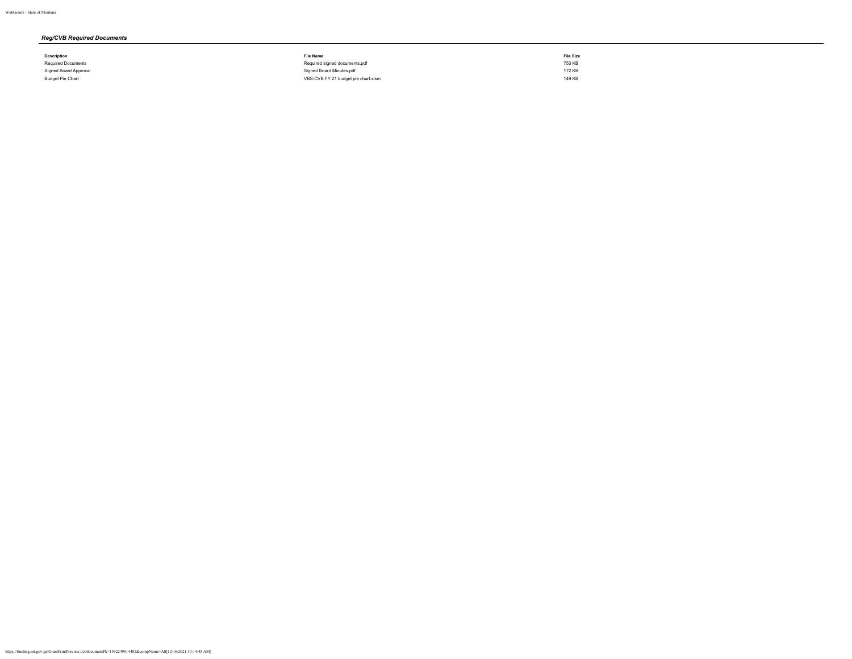# *Reg/CVB Required Documents*

| Description           | <b>File Name</b>                    | <b>File Size</b> |
|-----------------------|-------------------------------------|------------------|
| Required Documents    | Required signed documents.pdf       | 753 KB           |
| Signed Board Approval | Signed Board Minutes.pdf            | 172 KB           |
| Budget Pie Chart      | VBS-CVB FY 21 budget pie chart.xlsm | 149 KB           |